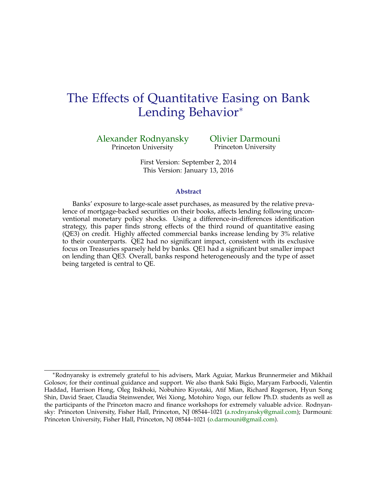# The Effects of Quantitative Easing on Bank Lending Behavior<sup>∗</sup>

[Alexander Rodnyansky](http://www.princeton.edu/~arodnyan/) Princeton University

[Olivier Darmouni](http://www.princeton.edu/~darmouni/) Princeton University

First Version: September 2, 2014 This Version: January 13, 2016

#### **Abstract**

Banks' exposure to large-scale asset purchases, as measured by the relative prevalence of mortgage-backed securities on their books, affects lending following unconventional monetary policy shocks. Using a difference-in-differences identification strategy, this paper finds strong effects of the third round of quantitative easing (QE3) on credit. Highly affected commercial banks increase lending by 3% relative to their counterparts. QE2 had no significant impact, consistent with its exclusive focus on Treasuries sparsely held by banks. QE1 had a significant but smaller impact on lending than QE3. Overall, banks respond heterogeneously and the type of asset being targeted is central to QE.

<sup>∗</sup>Rodnyansky is extremely grateful to his advisers, Mark Aguiar, Markus Brunnermeier and Mikhail Golosov, for their continual guidance and support. We also thank Saki Bigio, Maryam Farboodi, Valentin Haddad, Harrison Hong, Oleg Itskhoki, Nobuhiro Kiyotaki, Atif Mian, Richard Rogerson, Hyun Song Shin, David Sraer, Claudia Steinwender, Wei Xiong, Motohiro Yogo, our fellow Ph.D. students as well as the participants of the Princeton macro and finance workshops for extremely valuable advice. Rodnyansky: Princeton University, Fisher Hall, Princeton, NJ 08544–1021 [\(a.rodnyansky@gmail.com\)](mailto:a.rodnyansky@gmail.com); Darmouni: Princeton University, Fisher Hall, Princeton, NJ 08544–1021 [\(o.darmouni@gmail.com\)](mailto:o.darmouni@gmail.com).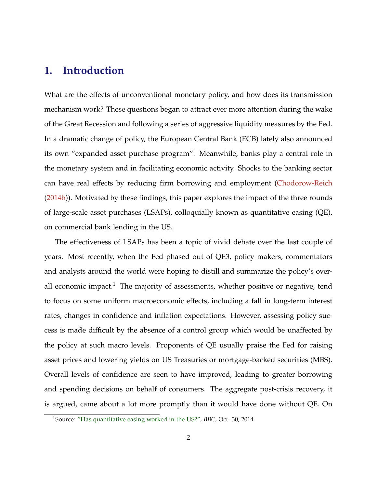## **1. Introduction**

What are the effects of unconventional monetary policy, and how does its transmission mechanism work? These questions began to attract ever more attention during the wake of the Great Recession and following a series of aggressive liquidity measures by the Fed. In a dramatic change of policy, the European Central Bank (ECB) lately also announced its own "expanded asset purchase program". Meanwhile, banks play a central role in the monetary system and in facilitating economic activity. Shocks to the banking sector can have real effects by reducing firm borrowing and employment [\(Chodorow-Reich](#page-38-0) [\(2014b\)](#page-38-0)). Motivated by these findings, this paper explores the impact of the three rounds of large-scale asset purchases (LSAPs), colloquially known as quantitative easing (QE), on commercial bank lending in the US.

The effectiveness of LSAPs has been a topic of vivid debate over the last couple of years. Most recently, when the Fed phased out of QE3, policy makers, commentators and analysts around the world were hoping to distill and summarize the policy's overall economic impact.<sup>1</sup> The majority of assessments, whether positive or negative, tend to focus on some uniform macroeconomic effects, including a fall in long-term interest rates, changes in confidence and inflation expectations. However, assessing policy success is made difficult by the absence of a control group which would be unaffected by the policy at such macro levels. Proponents of QE usually praise the Fed for raising asset prices and lowering yields on US Treasuries or mortgage-backed securities (MBS). Overall levels of confidence are seen to have improved, leading to greater borrowing and spending decisions on behalf of consumers. The aggregate post-crisis recovery, it is argued, came about a lot more promptly than it would have done without QE. On

<sup>1</sup>Source: ["Has quantitative easing worked in the US?",](http://www.bbc.com/news/business-29778331) *BBC*, Oct. 30, 2014.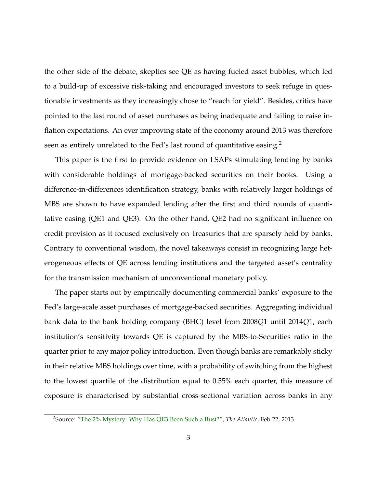the other side of the debate, skeptics see QE as having fueled asset bubbles, which led to a build-up of excessive risk-taking and encouraged investors to seek refuge in questionable investments as they increasingly chose to "reach for yield". Besides, critics have pointed to the last round of asset purchases as being inadequate and failing to raise inflation expectations. An ever improving state of the economy around 2013 was therefore seen as entirely unrelated to the Fed's last round of quantitative easing.<sup>2</sup>

This paper is the first to provide evidence on LSAPs stimulating lending by banks with considerable holdings of mortgage-backed securities on their books. Using a difference-in-differences identification strategy, banks with relatively larger holdings of MBS are shown to have expanded lending after the first and third rounds of quantitative easing (QE1 and QE3). On the other hand, QE2 had no significant influence on credit provision as it focused exclusively on Treasuries that are sparsely held by banks. Contrary to conventional wisdom, the novel takeaways consist in recognizing large heterogeneous effects of QE across lending institutions and the targeted asset's centrality for the transmission mechanism of unconventional monetary policy.

The paper starts out by empirically documenting commercial banks' exposure to the Fed's large-scale asset purchases of mortgage-backed securities. Aggregating individual bank data to the bank holding company (BHC) level from 2008*Q*1 until 2014*Q*1, each institution's sensitivity towards QE is captured by the MBS-to-Securities ratio in the quarter prior to any major policy introduction. Even though banks are remarkably sticky in their relative MBS holdings over time, with a probability of switching from the highest to the lowest quartile of the distribution equal to 0.55% each quarter, this measure of exposure is characterised by substantial cross-sectional variation across banks in any

<sup>2</sup>Source: ["The 2% Mystery: Why Has QE3 Been Such a Bust?",](http://www.theatlantic.com/business/archive/2013/02/the-2-mystery-why-has-qe3-been-such-a-bust/273381/) *The Atlantic*, Feb 22, 2013.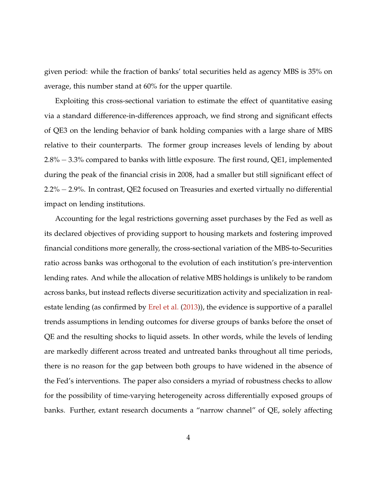given period: while the fraction of banks' total securities held as agency MBS is 35% on average, this number stand at 60% for the upper quartile.

Exploiting this cross-sectional variation to estimate the effect of quantitative easing via a standard difference-in-differences approach, we find strong and significant effects of QE3 on the lending behavior of bank holding companies with a large share of MBS relative to their counterparts. The former group increases levels of lending by about 2.8% − 3.3% compared to banks with little exposure. The first round, QE1, implemented during the peak of the financial crisis in 2008, had a smaller but still significant effect of 2.2% − 2.9%. In contrast, QE2 focused on Treasuries and exerted virtually no differential impact on lending institutions.

Accounting for the legal restrictions governing asset purchases by the Fed as well as its declared objectives of providing support to housing markets and fostering improved financial conditions more generally, the cross-sectional variation of the MBS-to-Securities ratio across banks was orthogonal to the evolution of each institution's pre-intervention lending rates. And while the allocation of relative MBS holdings is unlikely to be random across banks, but instead reflects diverse securitization activity and specialization in realestate lending (as confirmed by [Erel et al.](#page-38-0) [\(2013\)](#page-38-0)), the evidence is supportive of a parallel trends assumptions in lending outcomes for diverse groups of banks before the onset of QE and the resulting shocks to liquid assets. In other words, while the levels of lending are markedly different across treated and untreated banks throughout all time periods, there is no reason for the gap between both groups to have widened in the absence of the Fed's interventions. The paper also considers a myriad of robustness checks to allow for the possibility of time-varying heterogeneity across differentially exposed groups of banks. Further, extant research documents a "narrow channel" of QE, solely affecting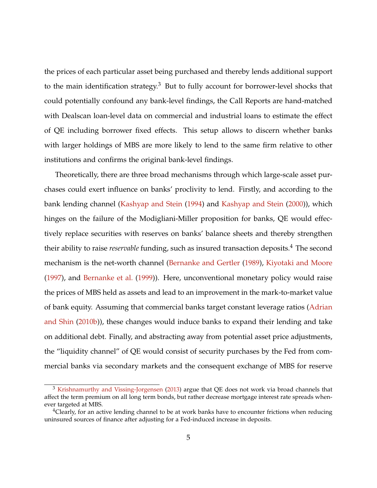the prices of each particular asset being purchased and thereby lends additional support to the main identification strategy.<sup>3</sup> But to fully account for borrower-level shocks that could potentially confound any bank-level findings, the Call Reports are hand-matched with Dealscan loan-level data on commercial and industrial loans to estimate the effect of QE including borrower fixed effects. This setup allows to discern whether banks with larger holdings of MBS are more likely to lend to the same firm relative to other institutions and confirms the original bank-level findings.

Theoretically, there are three broad mechanisms through which large-scale asset purchases could exert influence on banks' proclivity to lend. Firstly, and according to the bank lending channel [\(Kashyap and Stein](#page-39-0) [\(1994\)](#page-39-0) and [Kashyap and Stein](#page-39-0) [\(2000\)](#page-39-0)), which hinges on the failure of the Modigliani-Miller proposition for banks, QE would effectively replace securities with reserves on banks' balance sheets and thereby strengthen their ability to raise *reservable* funding, such as insured transaction deposits.<sup>4</sup> The second mechanism is the net-worth channel [\(Bernanke and Gertler](#page-37-0) [\(1989\)](#page-37-0), [Kiyotaki and Moore](#page-39-0) [\(1997\)](#page-39-0), and [Bernanke et al.](#page-37-0) [\(1999\)](#page-37-0)). Here, unconventional monetary policy would raise the prices of MBS held as assets and lead to an improvement in the mark-to-market value of bank equity. Assuming that commercial banks target constant leverage ratios [\(Adrian](#page-37-0) [and Shin](#page-37-0) [\(2010b\)](#page-37-0)), these changes would induce banks to expand their lending and take on additional debt. Finally, and abstracting away from potential asset price adjustments, the "liquidity channel" of QE would consist of security purchases by the Fed from commercial banks via secondary markets and the consequent exchange of MBS for reserve

<sup>&</sup>lt;sup>3</sup> [Krishnamurthy and Vissing-Jorgensen](#page-39-0) [\(2013\)](#page-39-0) argue that QE does not work via broad channels that affect the term premium on all long term bonds, but rather decrease mortgage interest rate spreads whenever targeted at MBS.

 $4$ Clearly, for an active lending channel to be at work banks have to encounter frictions when reducing uninsured sources of finance after adjusting for a Fed-induced increase in deposits.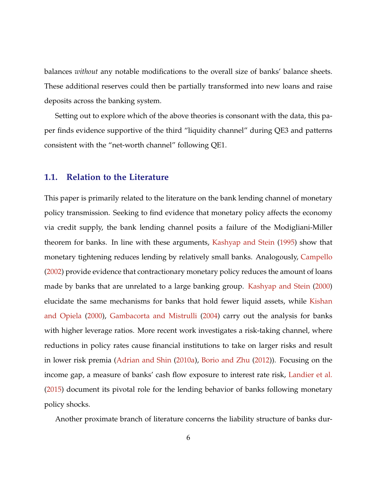balances *without* any notable modifications to the overall size of banks' balance sheets. These additional reserves could then be partially transformed into new loans and raise deposits across the banking system.

Setting out to explore which of the above theories is consonant with the data, this paper finds evidence supportive of the third "liquidity channel" during QE3 and patterns consistent with the "net-worth channel" following QE1.

## **1.1. Relation to the Literature**

This paper is primarily related to the literature on the bank lending channel of monetary policy transmission. Seeking to find evidence that monetary policy affects the economy via credit supply, the bank lending channel posits a failure of the Modigliani-Miller theorem for banks. In line with these arguments, [Kashyap and Stein](#page-39-0) [\(1995\)](#page-39-0) show that monetary tightening reduces lending by relatively small banks. Analogously, [Campello](#page-37-0) [\(2002\)](#page-37-0) provide evidence that contractionary monetary policy reduces the amount of loans made by banks that are unrelated to a large banking group. [Kashyap and Stein](#page-39-0) [\(2000\)](#page-39-0) elucidate the same mechanisms for banks that hold fewer liquid assets, while [Kishan](#page-39-0) [and Opiela](#page-39-0) [\(2000\)](#page-39-0), [Gambacorta and Mistrulli](#page-38-0) [\(2004\)](#page-38-0) carry out the analysis for banks with higher leverage ratios. More recent work investigates a risk-taking channel, where reductions in policy rates cause financial institutions to take on larger risks and result in lower risk premia [\(Adrian and Shin](#page-37-0) [\(2010a\)](#page-37-0), [Borio and Zhu](#page-37-0) [\(2012\)](#page-37-0)). Focusing on the income gap, a measure of banks' cash flow exposure to interest rate risk, [Landier et al.](#page-39-0) [\(2015\)](#page-39-0) document its pivotal role for the lending behavior of banks following monetary policy shocks.

Another proximate branch of literature concerns the liability structure of banks dur-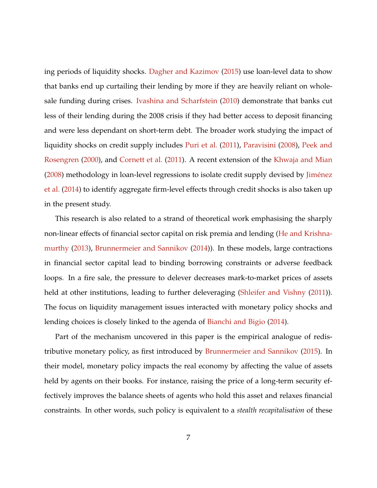ing periods of liquidity shocks. [Dagher and Kazimov](#page-38-0) [\(2015\)](#page-38-0) use loan-level data to show that banks end up curtailing their lending by more if they are heavily reliant on wholesale funding during crises. [Ivashina and Scharfstein](#page-38-0) [\(2010\)](#page-38-0) demonstrate that banks cut less of their lending during the 2008 crisis if they had better access to deposit financing and were less dependant on short-term debt. The broader work studying the impact of liquidity shocks on credit supply includes [Puri et al.](#page-40-0) [\(2011\)](#page-40-0), [Paravisini](#page-40-0) [\(2008\)](#page-40-0), [Peek and](#page-40-0) [Rosengren](#page-40-0) [\(2000\)](#page-40-0), and [Cornett et al.](#page-38-0) [\(2011\)](#page-38-0). A recent extension of the [Khwaja and Mian](#page-39-0)  $(2008)$  methodology in loan-level regressions to isolate credit supply devised by Jiménez [et al.](#page-38-0) [\(2014\)](#page-38-0) to identify aggregate firm-level effects through credit shocks is also taken up in the present study.

This research is also related to a strand of theoretical work emphasising the sharply non-linear effects of financial sector capital on risk premia and lending [\(He and Krishna](#page-38-0)[murthy](#page-38-0) [\(2013\)](#page-38-0), [Brunnermeier and Sannikov](#page-37-0) [\(2014\)](#page-37-0)). In these models, large contractions in financial sector capital lead to binding borrowing constraints or adverse feedback loops. In a fire sale, the pressure to delever decreases mark-to-market prices of assets held at other institutions, leading to further deleveraging [\(Shleifer and Vishny](#page-40-0) [\(2011\)](#page-40-0)). The focus on liquidity management issues interacted with monetary policy shocks and lending choices is closely linked to the agenda of [Bianchi and Bigio](#page-37-0) [\(2014\)](#page-37-0).

Part of the mechanism uncovered in this paper is the empirical analogue of redistributive monetary policy, as first introduced by [Brunnermeier and Sannikov](#page-37-0) [\(2015\)](#page-37-0). In their model, monetary policy impacts the real economy by affecting the value of assets held by agents on their books. For instance, raising the price of a long-term security effectively improves the balance sheets of agents who hold this asset and relaxes financial constraints. In other words, such policy is equivalent to a *stealth recapitalisation* of these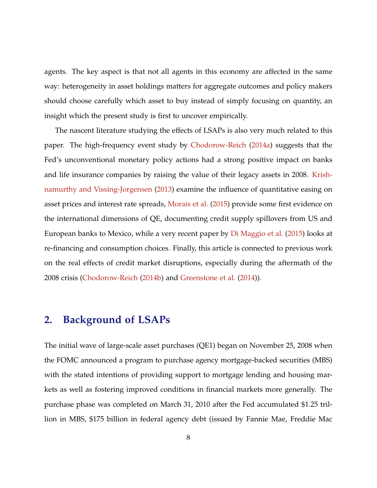<span id="page-7-0"></span>agents. The key aspect is that not all agents in this economy are affected in the same way: heterogeneity in asset holdings matters for aggregate outcomes and policy makers should choose carefully which asset to buy instead of simply focusing on quantity, an insight which the present study is first to uncover empirically.

The nascent literature studying the effects of LSAPs is also very much related to this paper. The high-frequency event study by [Chodorow-Reich](#page-37-0) [\(2014a\)](#page-37-0) suggests that the Fed's unconventional monetary policy actions had a strong positive impact on banks and life insurance companies by raising the value of their legacy assets in 2008. [Krish](#page-39-0)[namurthy and Vissing-Jorgensen](#page-39-0) [\(2013\)](#page-39-0) examine the influence of quantitative easing on asset prices and interest rate spreads, [Morais et al.](#page-39-0) [\(2015\)](#page-39-0) provide some first evidence on the international dimensions of QE, documenting credit supply spillovers from US and European banks to Mexico, while a very recent paper by [Di Maggio et al.](#page-39-0) [\(2015\)](#page-39-0) looks at re-financing and consumption choices. Finally, this article is connected to previous work on the real effects of credit market disruptions, especially during the aftermath of the 2008 crisis [\(Chodorow-Reich](#page-38-0) [\(2014b\)](#page-38-0) and [Greenstone et al.](#page-38-0) [\(2014\)](#page-38-0)).

## **2. Background of LSAPs**

The initial wave of large-scale asset purchases (QE1) began on November 25, 2008 when the FOMC announced a program to purchase agency mortgage-backed securities (MBS) with the stated intentions of providing support to mortgage lending and housing markets as well as fostering improved conditions in financial markets more generally. The purchase phase was completed on March 31, 2010 after the Fed accumulated \$1.25 trillion in MBS, \$175 billion in federal agency debt (issued by Fannie Mae, Freddie Mac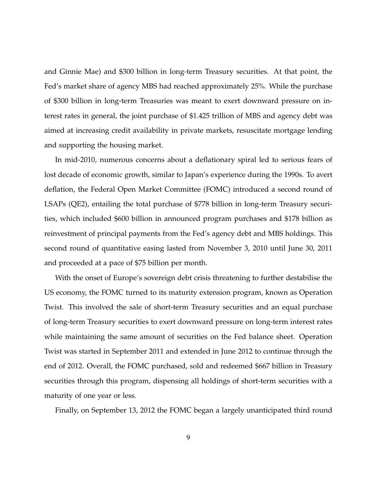and Ginnie Mae) and \$300 billion in long-term Treasury securities. At that point, the Fed's market share of agency MBS had reached approximately 25%. While the purchase of \$300 billion in long-term Treasuries was meant to exert downward pressure on interest rates in general, the joint purchase of \$1.425 trillion of MBS and agency debt was aimed at increasing credit availability in private markets, resuscitate mortgage lending and supporting the housing market.

In mid-2010, numerous concerns about a deflationary spiral led to serious fears of lost decade of economic growth, similar to Japan's experience during the 1990s. To avert deflation, the Federal Open Market Committee (FOMC) introduced a second round of LSAPs (QE2), entailing the total purchase of \$778 billion in long-term Treasury securities, which included \$600 billion in announced program purchases and \$178 billion as reinvestment of principal payments from the Fed's agency debt and MBS holdings. This second round of quantitative easing lasted from November 3, 2010 until June 30, 2011 and proceeded at a pace of \$75 billion per month.

With the onset of Europe's sovereign debt crisis threatening to further destabilise the US economy, the FOMC turned to its maturity extension program, known as Operation Twist. This involved the sale of short-term Treasury securities and an equal purchase of long-term Treasury securities to exert downward pressure on long-term interest rates while maintaining the same amount of securities on the Fed balance sheet. Operation Twist was started in September 2011 and extended in June 2012 to continue through the end of 2012. Overall, the FOMC purchased, sold and redeemed \$667 billion in Treasury securities through this program, dispensing all holdings of short-term securities with a maturity of one year or less.

Finally, on September 13, 2012 the FOMC began a largely unanticipated third round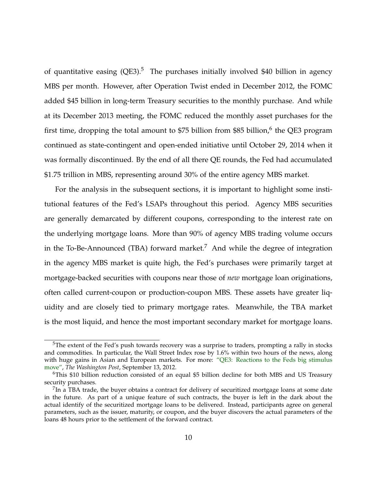of quantitative easing  $(QE3)$ .<sup>5</sup> The purchases initially involved \$40 billion in agency MBS per month. However, after Operation Twist ended in December 2012, the FOMC added \$45 billion in long-term Treasury securities to the monthly purchase. And while at its December 2013 meeting, the FOMC reduced the monthly asset purchases for the first time, dropping the total amount to \$75 billion from \$85 billion, $^6$  the QE3 program continued as state-contingent and open-ended initiative until October 29, 2014 when it was formally discontinued. By the end of all there QE rounds, the Fed had accumulated \$1.75 trillion in MBS, representing around 30% of the entire agency MBS market.

For the analysis in the subsequent sections, it is important to highlight some institutional features of the Fed's LSAPs throughout this period. Agency MBS securities are generally demarcated by different coupons, corresponding to the interest rate on the underlying mortgage loans. More than 90% of agency MBS trading volume occurs in the To-Be-Announced (TBA) forward market.<sup>7</sup> And while the degree of integration in the agency MBS market is quite high, the Fed's purchases were primarily target at mortgage-backed securities with coupons near those of *new* mortgage loan originations, often called current-coupon or production-coupon MBS. These assets have greater liquidity and are closely tied to primary mortgage rates. Meanwhile, the TBA market is the most liquid, and hence the most important secondary market for mortgage loans.

<sup>&</sup>lt;sup>5</sup>The extent of the Fed's push towards recovery was a surprise to traders, prompting a rally in stocks and commodities. In particular, the Wall Street Index rose by 1.6% within two hours of the news, along with huge gains in Asian and European markets. For more: ["QE3: Reactions to the Feds big stimulus](http://www.washingtonpost.com/blogs/wonkblog/wp/2012/09/13/qe3-reactions-to-the-feds-big-stimulus-move) [move",](http://www.washingtonpost.com/blogs/wonkblog/wp/2012/09/13/qe3-reactions-to-the-feds-big-stimulus-move) *The Washington Post*, September 13, 2012.

<sup>6</sup>This \$10 billion reduction consisted of an equal \$5 billion decline for both MBS and US Treasury security purchases.

 $^{7}$ In a TBA trade, the buyer obtains a contract for delivery of securitized mortgage loans at some date in the future. As part of a unique feature of such contracts, the buyer is left in the dark about the actual identify of the securitized mortgage loans to be delivered. Instead, participants agree on general parameters, such as the issuer, maturity, or coupon, and the buyer discovers the actual parameters of the loans 48 hours prior to the settlement of the forward contract.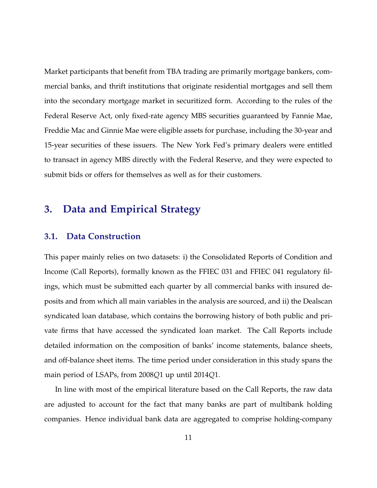Market participants that benefit from TBA trading are primarily mortgage bankers, commercial banks, and thrift institutions that originate residential mortgages and sell them into the secondary mortgage market in securitized form. According to the rules of the Federal Reserve Act, only fixed-rate agency MBS securities guaranteed by Fannie Mae, Freddie Mac and Ginnie Mae were eligible assets for purchase, including the 30-year and 15-year securities of these issuers. The New York Fed's primary dealers were entitled to transact in agency MBS directly with the Federal Reserve, and they were expected to submit bids or offers for themselves as well as for their customers.

## **3. Data and Empirical Strategy**

## **3.1. Data Construction**

This paper mainly relies on two datasets: i) the Consolidated Reports of Condition and Income (Call Reports), formally known as the FFIEC 031 and FFIEC 041 regulatory filings, which must be submitted each quarter by all commercial banks with insured deposits and from which all main variables in the analysis are sourced, and ii) the Dealscan syndicated loan database, which contains the borrowing history of both public and private firms that have accessed the syndicated loan market. The Call Reports include detailed information on the composition of banks' income statements, balance sheets, and off-balance sheet items. The time period under consideration in this study spans the main period of LSAPs, from 2008*Q*1 up until 2014*Q*1.

In line with most of the empirical literature based on the Call Reports, the raw data are adjusted to account for the fact that many banks are part of multibank holding companies. Hence individual bank data are aggregated to comprise holding-company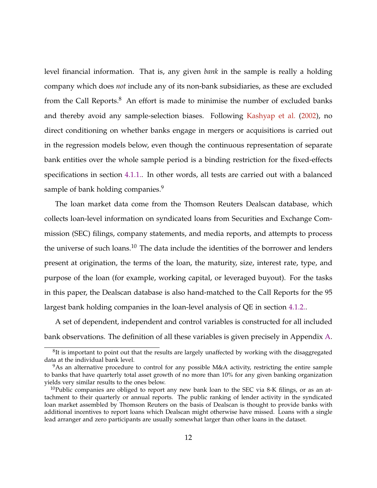level financial information. That is, any given *bank* in the sample is really a holding company which does *not* include any of its non-bank subsidiaries, as these are excluded from the Call Reports. $8$  An effort is made to minimise the number of excluded banks and thereby avoid any sample-selection biases. Following [Kashyap et al.](#page-39-0) [\(2002\)](#page-39-0), no direct conditioning on whether banks engage in mergers or acquisitions is carried out in the regression models below, even though the continuous representation of separate bank entities over the whole sample period is a binding restriction for the fixed-effects specifications in section [4.1.1..](#page-19-0) In other words, all tests are carried out with a balanced sample of bank holding companies.<sup>9</sup>

The loan market data come from the Thomson Reuters Dealscan database, which collects loan-level information on syndicated loans from Securities and Exchange Commission (SEC) filings, company statements, and media reports, and attempts to process the universe of such loans. $10$  The data include the identities of the borrower and lenders present at origination, the terms of the loan, the maturity, size, interest rate, type, and purpose of the loan (for example, working capital, or leveraged buyout). For the tasks in this paper, the Dealscan database is also hand-matched to the Call Reports for the 95 largest bank holding companies in the loan-level analysis of QE in section [4.1.2..](#page-22-0)

A set of dependent, independent and control variables is constructed for all included bank observations. The definition of all these variables is given precisely in Appendix [A.](#page-35-0)

 ${}^{8}$ It is important to point out that the results are largely unaffected by working with the disaggregated data at the individual bank level.

<sup>&</sup>lt;sup>9</sup>As an alternative procedure to control for any possible M&A activity, restricting the entire sample to banks that have quarterly total asset growth of no more than 10% for any given banking organization yields very similar results to the ones below.

 $10P$ ublic companies are obliged to report any new bank loan to the SEC via 8-K filings, or as an attachment to their quarterly or annual reports. The public ranking of lender activity in the syndicated loan market assembled by Thomson Reuters on the basis of Dealscan is thought to provide banks with additional incentives to report loans which Dealscan might otherwise have missed. Loans with a single lead arranger and zero participants are usually somewhat larger than other loans in the dataset.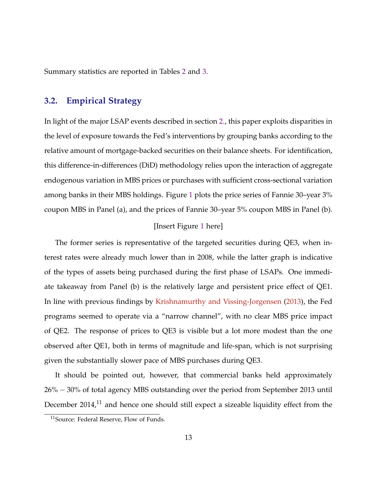Summary statistics are reported in Tables [2](#page-45-0) and [3.](#page-45-0)

## **3.2. Empirical Strategy**

In light of the major LSAP events described in section [2.,](#page-7-0) this paper exploits disparities in the level of exposure towards the Fed's interventions by grouping banks according to the relative amount of mortgage-backed securities on their balance sheets. For identification, this difference-in-differences (DiD) methodology relies upon the interaction of aggregate endogenous variation in MBS prices or purchases with sufficient cross-sectional variation among banks in their MBS holdings. Figure [1](#page-41-0) plots the price series of Fannie 30–year 3% coupon MBS in Panel (a), and the prices of Fannie 30–year 5% coupon MBS in Panel (b).

### [Insert Figure [1](#page-41-0) here]

The former series is representative of the targeted securities during QE3, when interest rates were already much lower than in 2008, while the latter graph is indicative of the types of assets being purchased during the first phase of LSAPs. One immediate takeaway from Panel (b) is the relatively large and persistent price effect of QE1. In line with previous findings by [Krishnamurthy and Vissing-Jorgensen](#page-39-0) [\(2013\)](#page-39-0), the Fed programs seemed to operate via a "narrow channel", with no clear MBS price impact of QE2. The response of prices to QE3 is visible but a lot more modest than the one observed after QE1, both in terms of magnitude and life-span, which is not surprising given the substantially slower pace of MBS purchases during QE3.

It should be pointed out, however, that commercial banks held approximately 26% − 30% of total agency MBS outstanding over the period from September 2013 until December  $2014$ ,<sup>11</sup> and hence one should still expect a sizeable liquidity effect from the

<sup>&</sup>lt;sup>11</sup>Source: Federal Reserve, Flow of Funds.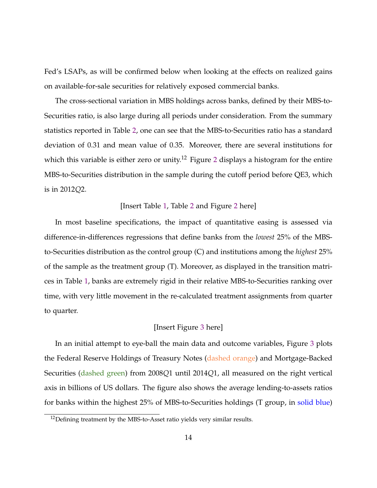Fed's LSAPs, as will be confirmed below when looking at the effects on realized gains on available-for-sale securities for relatively exposed commercial banks.

The cross-sectional variation in MBS holdings across banks, defined by their MBS-to-Securities ratio, is also large during all periods under consideration. From the summary statistics reported in Table [2,](#page-45-0) one can see that the MBS-to-Securities ratio has a standard deviation of 0.31 and mean value of 0.35. Moreover, there are several institutions for which this variable is either zero or unity.<sup>1[2](#page-42-0)</sup> Figure 2 displays a histogram for the entire MBS-to-Securities distribution in the sample during the cutoff period before QE3, which is in 2012*Q*2.

#### [Insert Table [1,](#page-42-0) Table [2](#page-45-0) and Figure [2](#page-42-0) here]

In most baseline specifications, the impact of quantitative easing is assessed via difference-in-differences regressions that define banks from the *lowest* 25% of the MBSto-Securities distribution as the control group (C) and institutions among the *highest* 25% of the sample as the treatment group (T). Moreover, as displayed in the transition matrices in Table [1,](#page-42-0) banks are extremely rigid in their relative MBS-to-Securities ranking over time, with very little movement in the re-calculated treatment assignments from quarter to quarter.

## [Insert Figure [3](#page-43-0) here]

In an initial attempt to eye-ball the main data and outcome variables, Figure [3](#page-43-0) plots the Federal Reserve Holdings of Treasury Notes (dashed orange) and Mortgage-Backed Securities (dashed green) from 2008*Q*1 until 2014*Q*1, all measured on the right vertical axis in billions of US dollars. The figure also shows the average lending-to-assets ratios for banks within the highest 25% of MBS-to-Securities holdings (T group, in solid blue)

 $12$ Defining treatment by the MBS-to-Asset ratio yields very similar results.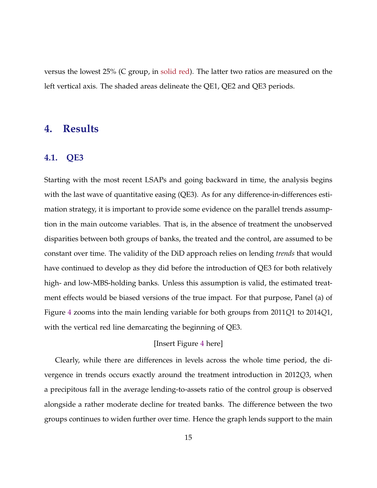<span id="page-14-0"></span>versus the lowest 25% (C group, in solid red). The latter two ratios are measured on the left vertical axis. The shaded areas delineate the QE1, QE2 and QE3 periods.

## **4. Results**

## **4.1. QE3**

Starting with the most recent LSAPs and going backward in time, the analysis begins with the last wave of quantitative easing (QE3). As for any difference-in-differences estimation strategy, it is important to provide some evidence on the parallel trends assumption in the main outcome variables. That is, in the absence of treatment the unobserved disparities between both groups of banks, the treated and the control, are assumed to be constant over time. The validity of the DiD approach relies on lending *trends* that would have continued to develop as they did before the introduction of QE3 for both relatively high- and low-MBS-holding banks. Unless this assumption is valid, the estimated treatment effects would be biased versions of the true impact. For that purpose, Panel (a) of Figure [4](#page-44-0) zooms into the main lending variable for both groups from 2011*Q*1 to 2014*Q*1, with the vertical red line demarcating the beginning of QE3.

## [Insert Figure [4](#page-44-0) here]

Clearly, while there are differences in levels across the whole time period, the divergence in trends occurs exactly around the treatment introduction in 2012*Q*3, when a precipitous fall in the average lending-to-assets ratio of the control group is observed alongside a rather moderate decline for treated banks. The difference between the two groups continues to widen further over time. Hence the graph lends support to the main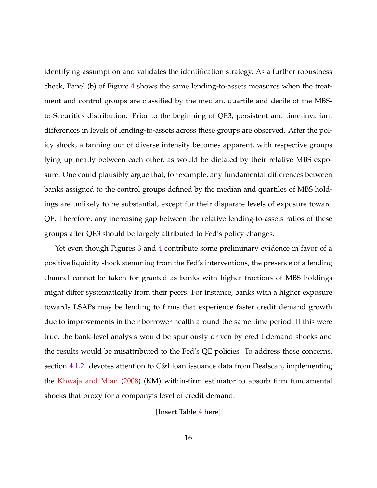identifying assumption and validates the identification strategy. As a further robustness check, Panel (b) of Figure [4](#page-44-0) shows the same lending-to-assets measures when the treatment and control groups are classified by the median, quartile and decile of the MBSto-Securities distribution. Prior to the beginning of QE3, persistent and time-invariant differences in levels of lending-to-assets across these groups are observed. After the policy shock, a fanning out of diverse intensity becomes apparent, with respective groups lying up neatly between each other, as would be dictated by their relative MBS exposure. One could plausibly argue that, for example, any fundamental differences between banks assigned to the control groups defined by the median and quartiles of MBS holdings are unlikely to be substantial, except for their disparate levels of exposure toward QE. Therefore, any increasing gap between the relative lending-to-assets ratios of these groups after QE3 should be largely attributed to Fed's policy changes.

Yet even though Figures [3](#page-43-0) and [4](#page-44-0) contribute some preliminary evidence in favor of a positive liquidity shock stemming from the Fed's interventions, the presence of a lending channel cannot be taken for granted as banks with higher fractions of MBS holdings might differ systematically from their peers. For instance, banks with a higher exposure towards LSAPs may be lending to firms that experience faster credit demand growth due to improvements in their borrower health around the same time period. If this were true, the bank-level analysis would be spuriously driven by credit demand shocks and the results would be misattributed to the Fed's QE policies. To address these concerns, section [4.1.2.](#page-22-0) devotes attention to C&I loan issuance data from Dealscan, implementing the [Khwaja and Mian](#page-39-0) [\(2008\)](#page-39-0) (KM) within-firm estimator to absorb firm fundamental shocks that proxy for a company's level of credit demand.

[Insert Table [4](#page-46-0) here]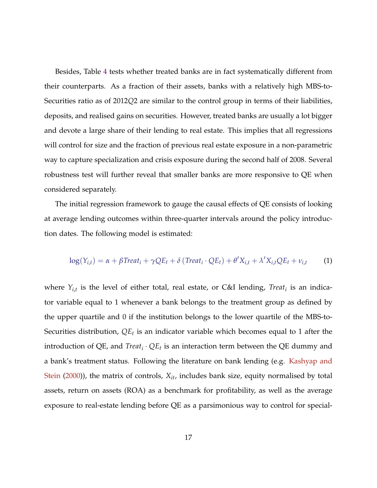<span id="page-16-0"></span>Besides, Table [4](#page-46-0) tests whether treated banks are in fact systematically different from their counterparts. As a fraction of their assets, banks with a relatively high MBS-to-Securities ratio as of 2012*Q*2 are similar to the control group in terms of their liabilities, deposits, and realised gains on securities. However, treated banks are usually a lot bigger and devote a large share of their lending to real estate. This implies that all regressions will control for size and the fraction of previous real estate exposure in a non-parametric way to capture specialization and crisis exposure during the second half of 2008. Several robustness test will further reveal that smaller banks are more responsive to QE when considered separately.

The initial regression framework to gauge the causal effects of QE consists of looking at average lending outcomes within three-quarter intervals around the policy introduction dates. The following model is estimated:

$$
log(Y_{i,t}) = \alpha + \beta Treat_i + \gamma QE_t + \delta (Treat_i \cdot QE_t) + \theta' X_{i,t} + \lambda' X_{i,t} QE_t + \nu_{i,t}
$$
 (1)

where  $Y_{i,t}$  is the level of either total, real estate, or C&I lending, *Treat<sub>i</sub>* is an indicator variable equal to 1 whenever a bank belongs to the treatment group as defined by the upper quartile and 0 if the institution belongs to the lower quartile of the MBS-to-Securities distribution, *QE<sup>t</sup>* is an indicator variable which becomes equal to 1 after the introduction of QE, and *Treat<sup>i</sup>* · *QE<sup>t</sup>* is an interaction term between the QE dummy and a bank's treatment status. Following the literature on bank lending (e.g. [Kashyap and](#page-39-0) [Stein](#page-39-0) [\(2000\)](#page-39-0)), the matrix of controls, *Xit*, includes bank size, equity normalised by total assets, return on assets (ROA) as a benchmark for profitability, as well as the average exposure to real-estate lending before QE as a parsimonious way to control for special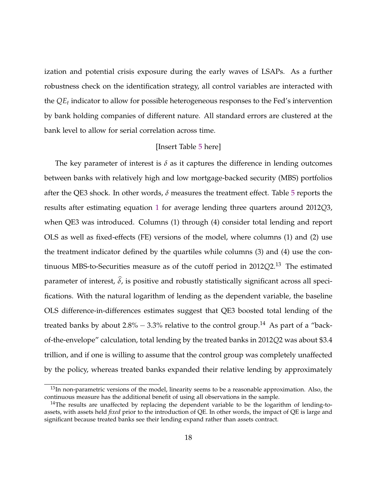ization and potential crisis exposure during the early waves of LSAPs. As a further robustness check on the identification strategy, all control variables are interacted with the *QE<sup>t</sup>* indicator to allow for possible heterogeneous responses to the Fed's intervention by bank holding companies of different nature. All standard errors are clustered at the bank level to allow for serial correlation across time.

### [Insert Table [5](#page-47-0) here]

The key parameter of interest is  $\delta$  as it captures the difference in lending outcomes between banks with relatively high and low mortgage-backed security (MBS) portfolios after the QE3 shock. In other words, *δ* measures the treatment effect. Table [5](#page-47-0) reports the results after estimating equation [1](#page-16-0) for average lending three quarters around 2012*Q*3, when QE3 was introduced. Columns (1) through (4) consider total lending and report OLS as well as fixed-effects (FE) versions of the model, where columns (1) and (2) use the treatment indicator defined by the quartiles while columns (3) and (4) use the continuous MBS-to-Securities measure as of the cutoff period in 2012*Q*2.<sup>13</sup> The estimated parameter of interest,  $\hat{\delta}$ , is positive and robustly statistically significant across all specifications. With the natural logarithm of lending as the dependent variable, the baseline OLS difference-in-differences estimates suggest that QE3 boosted total lending of the treated banks by about 2.8% − 3.3% relative to the control group.<sup>14</sup> As part of a "backof-the-envelope" calculation, total lending by the treated banks in 2012*Q*2 was about \$3.4 trillion, and if one is willing to assume that the control group was completely unaffected by the policy, whereas treated banks expanded their relative lending by approximately

 $13$ In non-parametric versions of the model, linearity seems to be a reasonable approximation. Also, the continuous measure has the additional benefit of using all observations in the sample.

 $14$ The results are unaffected by replacing the dependent variable to be the logarithm of lending-toassets, with assets held *fixed* prior to the introduction of QE. In other words, the impact of QE is large and significant because treated banks see their lending expand rather than assets contract.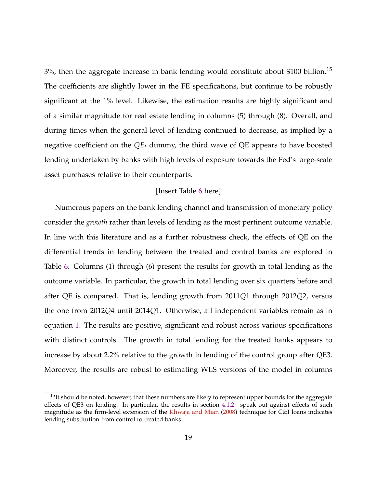$3\%$ , then the aggregate increase in bank lending would constitute about \$100 billion.<sup>15</sup> The coefficients are slightly lower in the FE specifications, but continue to be robustly significant at the 1% level. Likewise, the estimation results are highly significant and of a similar magnitude for real estate lending in columns (5) through (8). Overall, and during times when the general level of lending continued to decrease, as implied by a negative coefficient on the *QE<sup>t</sup>* dummy, the third wave of QE appears to have boosted lending undertaken by banks with high levels of exposure towards the Fed's large-scale asset purchases relative to their counterparts.

#### [Insert Table [6](#page-48-0) here]

Numerous papers on the bank lending channel and transmission of monetary policy consider the *growth* rather than levels of lending as the most pertinent outcome variable. In line with this literature and as a further robustness check, the effects of QE on the differential trends in lending between the treated and control banks are explored in Table [6.](#page-48-0) Columns (1) through (6) present the results for growth in total lending as the outcome variable. In particular, the growth in total lending over six quarters before and after QE is compared. That is, lending growth from 2011*Q*1 through 2012*Q*2, versus the one from 2012*Q*4 until 2014*Q*1. Otherwise, all independent variables remain as in equation [1.](#page-16-0) The results are positive, significant and robust across various specifications with distinct controls. The growth in total lending for the treated banks appears to increase by about 2.2% relative to the growth in lending of the control group after QE3. Moreover, the results are robust to estimating WLS versions of the model in columns

 $15$ It should be noted, however, that these numbers are likely to represent upper bounds for the aggregate effects of QE3 on lending. In particular, the results in section [4.1.2.](#page-22-0) speak out against effects of such magnitude as the firm-level extension of the [Khwaja and Mian](#page-39-0) [\(2008\)](#page-39-0) technique for C&I loans indicates lending substitution from control to treated banks.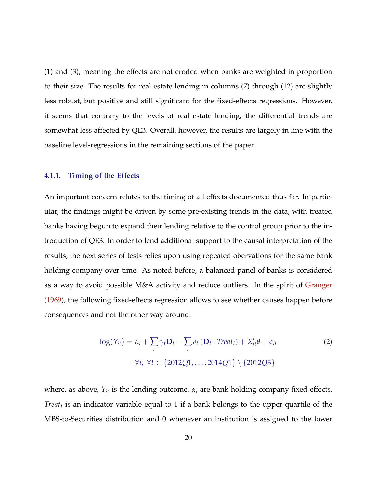<span id="page-19-0"></span>(1) and (3), meaning the effects are not eroded when banks are weighted in proportion to their size. The results for real estate lending in columns (7) through (12) are slightly less robust, but positive and still significant for the fixed-effects regressions. However, it seems that contrary to the levels of real estate lending, the differential trends are somewhat less affected by QE3. Overall, however, the results are largely in line with the baseline level-regressions in the remaining sections of the paper.

### **4.1.1. Timing of the Effects**

An important concern relates to the timing of all effects documented thus far. In particular, the findings might be driven by some pre-existing trends in the data, with treated banks having begun to expand their lending relative to the control group prior to the introduction of QE3. In order to lend additional support to the causal interpretation of the results, the next series of tests relies upon using repeated obervations for the same bank holding company over time. As noted before, a balanced panel of banks is considered as a way to avoid possible M&A activity and reduce outliers. In the spirit of [Granger](#page-38-0) [\(1969\)](#page-38-0), the following fixed-effects regression allows to see whether causes happen before consequences and not the other way around:

$$
\log(Y_{it}) = \alpha_i + \sum_t \gamma_t \mathbf{D}_t + \sum_t \delta_t (\mathbf{D}_t \cdot \text{Treat}_i) + X'_{it} \theta + \epsilon_{it}
$$
  
\n
$$
\forall i, \forall t \in \{2012Q1, \dots, 2014Q1\} \setminus \{2012Q3\}
$$
 (2)

where, as above,  $Y_{it}$  is the lending outcome,  $\alpha_i$  are bank holding company fixed effects, *Treat<sup>i</sup>* is an indicator variable equal to 1 if a bank belongs to the upper quartile of the MBS-to-Securities distribution and 0 whenever an institution is assigned to the lower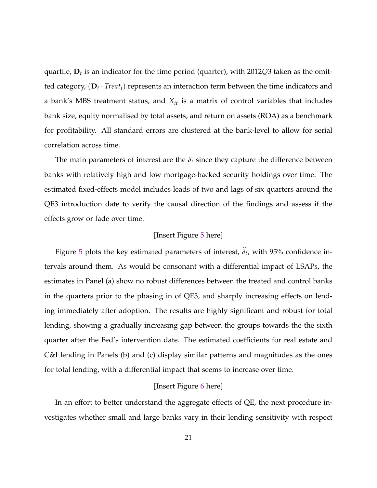quartile, **D***<sup>t</sup>* is an indicator for the time period (quarter), with 2012*Q*3 taken as the omitted category, (**D***<sup>t</sup>* · *Treati*) represents an interaction term between the time indicators and a bank's MBS treatment status, and *Xit* is a matrix of control variables that includes bank size, equity normalised by total assets, and return on assets (ROA) as a benchmark for profitability. All standard errors are clustered at the bank-level to allow for serial correlation across time.

The main parameters of interest are the  $\delta_t$  since they capture the difference between banks with relatively high and low mortgage-backed security holdings over time. The estimated fixed-effects model includes leads of two and lags of six quarters around the QE3 introduction date to verify the causal direction of the findings and assess if the effects grow or fade over time.

## [Insert Figure [5](#page-49-0) here]

Figure [5](#page-49-0) plots the key estimated parameters of interest,  $\delta_t$ , with 95% confidence intervals around them. As would be consonant with a differential impact of LSAPs, the estimates in Panel (a) show no robust differences between the treated and control banks in the quarters prior to the phasing in of QE3, and sharply increasing effects on lending immediately after adoption. The results are highly significant and robust for total lending, showing a gradually increasing gap between the groups towards the the sixth quarter after the Fed's intervention date. The estimated coefficients for real estate and C&I lending in Panels (b) and (c) display similar patterns and magnitudes as the ones for total lending, with a differential impact that seems to increase over time.

### [Insert Figure [6](#page-50-0) here]

In an effort to better understand the aggregate effects of QE, the next procedure investigates whether small and large banks vary in their lending sensitivity with respect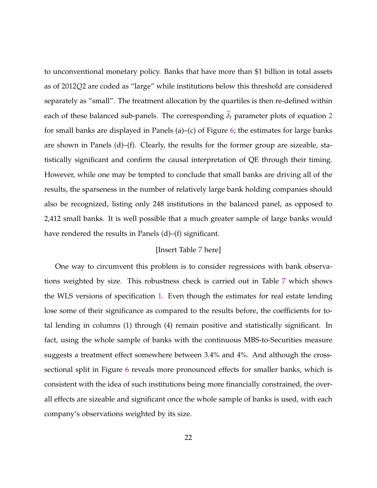to unconventional monetary policy. Banks that have more than \$1 billion in total assets as of 2012*Q*2 are coded as "large" while institutions below this threshold are considered separately as "small". The treatment allocation by the quartiles is then re-defined within each of these balanced sub-panels. The corresponding  $\hat{\delta}_t$  parameter plots of equation [2](#page-19-0) for small banks are displayed in Panels (a)–(c) of Figure [6;](#page-50-0) the estimates for large banks are shown in Panels (d)–(f). Clearly, the results for the former group are sizeable, statistically significant and confirm the causal interpretation of QE through their timing. However, while one may be tempted to conclude that small banks are driving all of the results, the sparseness in the number of relatively large bank holding companies should also be recognized, listing only 248 institutions in the balanced panel, as opposed to 2,412 small banks. It is well possible that a much greater sample of large banks would have rendered the results in Panels (d)–(f) significant.

#### [Insert Table [7](#page-51-0) here]

One way to circumvent this problem is to consider regressions with bank observations weighted by size. This robustness check is carried out in Table [7](#page-51-0) which shows the WLS versions of specification [1.](#page-16-0) Even though the estimates for real estate lending lose some of their significance as compared to the results before, the coefficients for total lending in columns (1) through (4) remain positive and statistically significant. In fact, using the whole sample of banks with the continuous MBS-to-Securities measure suggests a treatment effect somewhere between 3.4% and 4%. And although the crosssectional split in Figure [6](#page-50-0) reveals more pronounced effects for smaller banks, which is consistent with the idea of such institutions being more financially constrained, the overall effects are sizeable and significant once the whole sample of banks is used, with each company's observations weighted by its size.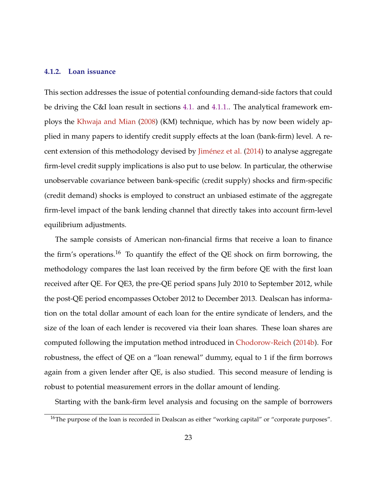#### <span id="page-22-0"></span>**4.1.2. Loan issuance**

This section addresses the issue of potential confounding demand-side factors that could be driving the C&I loan result in sections [4.1.](#page-14-0) and [4.1.1..](#page-19-0) The analytical framework employs the [Khwaja and Mian](#page-39-0) [\(2008\)](#page-39-0) (KM) technique, which has by now been widely applied in many papers to identify credit supply effects at the loan (bank-firm) level. A re-cent extension of this methodology devised by Jiménez et al. [\(2014\)](#page-38-0) to analyse aggregate firm-level credit supply implications is also put to use below. In particular, the otherwise unobservable covariance between bank-specific (credit supply) shocks and firm-specific (credit demand) shocks is employed to construct an unbiased estimate of the aggregate firm-level impact of the bank lending channel that directly takes into account firm-level equilibrium adjustments.

The sample consists of American non-financial firms that receive a loan to finance the firm's operations.<sup>16</sup> To quantify the effect of the QE shock on firm borrowing, the methodology compares the last loan received by the firm before QE with the first loan received after QE. For QE3, the pre-QE period spans July 2010 to September 2012, while the post-QE period encompasses October 2012 to December 2013. Dealscan has information on the total dollar amount of each loan for the entire syndicate of lenders, and the size of the loan of each lender is recovered via their loan shares. These loan shares are computed following the imputation method introduced in [Chodorow-Reich](#page-38-0) [\(2014b\)](#page-38-0). For robustness, the effect of QE on a "loan renewal" dummy, equal to 1 if the firm borrows again from a given lender after QE, is also studied. This second measure of lending is robust to potential measurement errors in the dollar amount of lending.

Starting with the bank-firm level analysis and focusing on the sample of borrowers

<sup>&</sup>lt;sup>16</sup>The purpose of the loan is recorded in Dealscan as either "working capital" or "corporate purposes".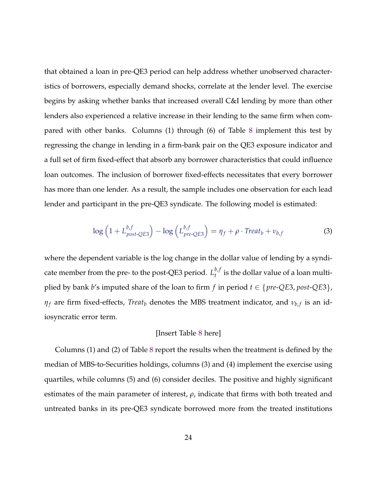<span id="page-23-0"></span>that obtained a loan in pre-QE3 period can help address whether unobserved characteristics of borrowers, especially demand shocks, correlate at the lender level. The exercise begins by asking whether banks that increased overall C&I lending by more than other lenders also experienced a relative increase in their lending to the same firm when compared with other banks. Columns (1) through (6) of Table [8](#page-52-0) implement this test by regressing the change in lending in a firm-bank pair on the QE3 exposure indicator and a full set of firm fixed-effect that absorb any borrower characteristics that could influence loan outcomes. The inclusion of borrower fixed-effects necessitates that every borrower has more than one lender. As a result, the sample includes one observation for each lead lender and participant in the pre-QE3 syndicate. The following model is estimated:

$$
\log\left(1+L_{post-QE3}^{b,f}\right)-\log\left(L_{pre-QE3}^{b,f}\right)=\eta_f+\rho\cdot Treat_b+\nu_{b,f}
$$
\n(3)

where the dependent variable is the log change in the dollar value of lending by a syndicate member from the pre- to the post-QE3 period.  $L_t^{b,f}$  $t'$  is the dollar value of a loan multiplied by bank *b*'s imputed share of the loan to firm *f* in period  $t \in \{pre\text{-}QE3, post\text{-}QE3\}$ ,  $\eta_f$  are firm fixed-effects, *Treat<sub>b</sub>* denotes the MBS treatment indicator, and  $\nu_{b,f}$  is an idiosyncratic error term.

#### [Insert Table [8](#page-52-0) here]

Columns (1) and (2) of Table [8](#page-52-0) report the results when the treatment is defined by the median of MBS-to-Securities holdings, columns (3) and (4) implement the exercise using quartiles, while columns (5) and (6) consider deciles. The positive and highly significant estimates of the main parameter of interest, *ρ*, indicate that firms with both treated and untreated banks in its pre-QE3 syndicate borrowed more from the treated institutions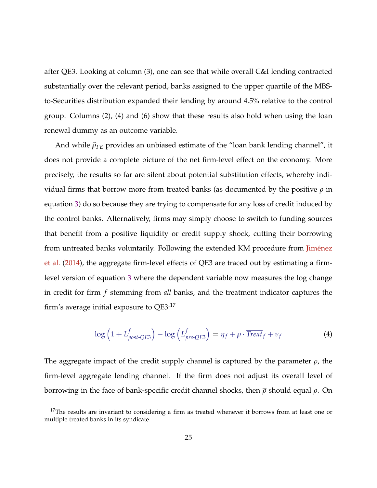<span id="page-24-0"></span>after QE3. Looking at column (3), one can see that while overall C&I lending contracted substantially over the relevant period, banks assigned to the upper quartile of the MBSto-Securities distribution expanded their lending by around 4.5% relative to the control group. Columns (2), (4) and (6) show that these results also hold when using the loan renewal dummy as an outcome variable.

And while  $\hat{\rho}_{FE}$  provides an unbiased estimate of the "loan bank lending channel", it does not provide a complete picture of the net firm-level effect on the economy. More precisely, the results so far are silent about potential substitution effects, whereby individual firms that borrow more from treated banks (as documented by the positive *ρ* in equation [3\)](#page-23-0) do so because they are trying to compensate for any loss of credit induced by the control banks. Alternatively, firms may simply choose to switch to funding sources that benefit from a positive liquidity or credit supply shock, cutting their borrowing from untreated banks voluntarily. Following the extended KM procedure from Jiménez [et al.](#page-38-0) [\(2014\)](#page-38-0), the aggregate firm-level effects of QE3 are traced out by estimating a firmlevel version of equation [3](#page-23-0) where the dependent variable now measures the log change in credit for firm *f* stemming from *all* banks, and the treatment indicator captures the firm's average initial exposure to  $QE3$ <sup>17</sup>

$$
\log\left(1 + L_{post\text{-}QE3}^f\right) - \log\left(L_{pre\text{-}QE3}^f\right) = \eta_f + \overline{\rho} \cdot \overline{\text{Treat}}_f + \nu_f \tag{4}
$$

The aggregate impact of the credit supply channel is captured by the parameter  $\bar{\rho}$ , the firm-level aggregate lending channel. If the firm does not adjust its overall level of borrowing in the face of bank-specific credit channel shocks, then *ρ* should equal *ρ*. On

 $17$ The results are invariant to considering a firm as treated whenever it borrows from at least one or multiple treated banks in its syndicate.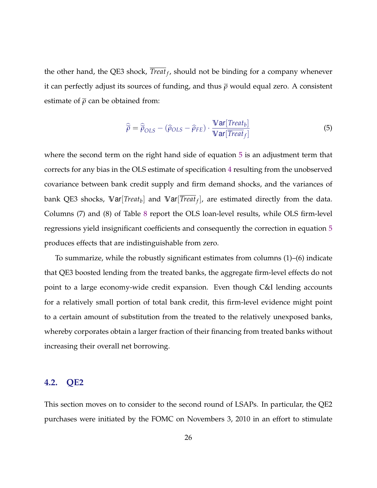the other hand, the QE3 shock, *Treat<sup>f</sup>* , should not be binding for a company whenever it can perfectly adjust its sources of funding, and thus *ρ* would equal zero. A consistent estimate of  $\bar{\rho}$  can be obtained from:

$$
\widehat{\overline{\rho}} = \widehat{\overline{\rho}}_{OLS} - (\widehat{\rho}_{OLS} - \widehat{\rho}_{FE}) \cdot \frac{\mathbf{Var}[Treat_b]}{\mathbf{Var}[Treat_f]}
$$
(5)

where the second term on the right hand side of equation 5 is an adjustment term that corrects for any bias in the OLS estimate of specification [4](#page-24-0) resulting from the unobserved covariance between bank credit supply and firm demand shocks, and the variances of bank QE3 shocks, **V**ar[*Treat<sup>b</sup>* ] and **V**ar[*Treat<sup>f</sup>* ], are estimated directly from the data. Columns (7) and (8) of Table [8](#page-52-0) report the OLS loan-level results, while OLS firm-level regressions yield insignificant coefficients and consequently the correction in equation 5 produces effects that are indistinguishable from zero.

To summarize, while the robustly significant estimates from columns (1)–(6) indicate that QE3 boosted lending from the treated banks, the aggregate firm-level effects do not point to a large economy-wide credit expansion. Even though C&I lending accounts for a relatively small portion of total bank credit, this firm-level evidence might point to a certain amount of substitution from the treated to the relatively unexposed banks, whereby corporates obtain a larger fraction of their financing from treated banks without increasing their overall net borrowing.

## **4.2. QE2**

This section moves on to consider to the second round of LSAPs. In particular, the QE2 purchases were initiated by the FOMC on Novembers 3, 2010 in an effort to stimulate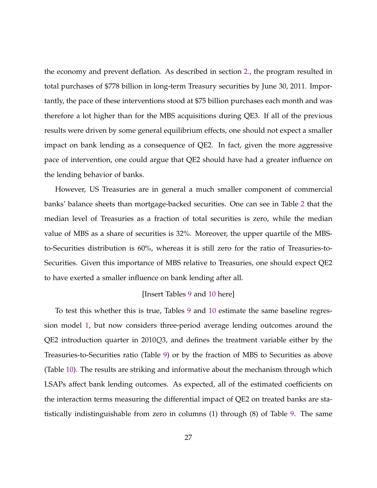the economy and prevent deflation. As described in section [2.,](#page-7-0) the program resulted in total purchases of \$778 billion in long-term Treasury securities by June 30, 2011. Importantly, the pace of these interventions stood at \$75 billion purchases each month and was therefore a lot higher than for the MBS acquisitions during QE3. If all of the previous results were driven by some general equilibrium effects, one should not expect a smaller impact on bank lending as a consequence of QE2. In fact, given the more aggressive pace of intervention, one could argue that QE2 should have had a greater influence on the lending behavior of banks.

However, US Treasuries are in general a much smaller component of commercial banks' balance sheets than mortgage-backed securities. One can see in Table [2](#page-45-0) that the median level of Treasuries as a fraction of total securities is zero, while the median value of MBS as a share of securities is 32%. Moreover, the upper quartile of the MBSto-Securities distribution is 60%, whereas it is still zero for the ratio of Treasuries-to-Securities. Given this importance of MBS relative to Treasuries, one should expect QE2 to have exerted a smaller influence on bank lending after all.

#### [Insert Tables [9](#page-53-0) and [10](#page-54-0) here]

To test this whether this is true, Tables [9](#page-53-0) and [10](#page-54-0) estimate the same baseline regression model [1,](#page-16-0) but now considers three-period average lending outcomes around the QE2 introduction quarter in 2010*Q*3, and defines the treatment variable either by the Treasuries-to-Securities ratio (Table [9\)](#page-53-0) or by the fraction of MBS to Securities as above (Table [10\)](#page-54-0). The results are striking and informative about the mechanism through which LSAPs affect bank lending outcomes. As expected, all of the estimated coefficients on the interaction terms measuring the differential impact of QE2 on treated banks are statistically indistinguishable from zero in columns (1) through (8) of Table [9.](#page-53-0) The same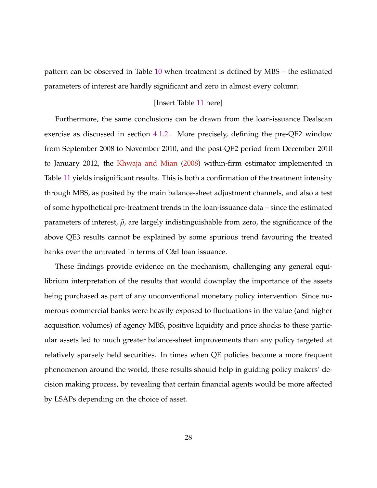<span id="page-27-0"></span>pattern can be observed in Table [10](#page-54-0) when treatment is defined by MBS – the estimated parameters of interest are hardly significant and zero in almost every column.

#### [Insert Table [11](#page-55-0) here]

Furthermore, the same conclusions can be drawn from the loan-issuance Dealscan exercise as discussed in section [4.1.2..](#page-22-0) More precisely, defining the pre-QE2 window from September 2008 to November 2010, and the post-QE2 period from December 2010 to January 2012, the [Khwaja and Mian](#page-39-0) [\(2008\)](#page-39-0) within-firm estimator implemented in Table [11](#page-55-0) yields insignificant results. This is both a confirmation of the treatment intensity through MBS, as posited by the main balance-sheet adjustment channels, and also a test of some hypothetical pre-treatment trends in the loan-issuance data – since the estimated parameters of interest,  $\hat{\rho}$ , are largely indistinguishable from zero, the significance of the above QE3 results cannot be explained by some spurious trend favouring the treated banks over the untreated in terms of C&I loan issuance.

These findings provide evidence on the mechanism, challenging any general equilibrium interpretation of the results that would downplay the importance of the assets being purchased as part of any unconventional monetary policy intervention. Since numerous commercial banks were heavily exposed to fluctuations in the value (and higher acquisition volumes) of agency MBS, positive liquidity and price shocks to these particular assets led to much greater balance-sheet improvements than any policy targeted at relatively sparsely held securities. In times when QE policies become a more frequent phenomenon around the world, these results should help in guiding policy makers' decision making process, by revealing that certain financial agents would be more affected by LSAPs depending on the choice of asset.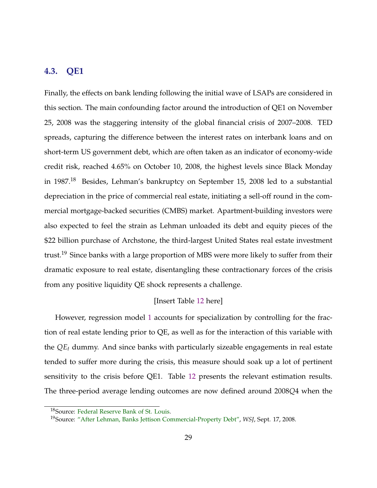## **4.3. QE1**

Finally, the effects on bank lending following the initial wave of LSAPs are considered in this section. The main confounding factor around the introduction of QE1 on November 25, 2008 was the staggering intensity of the global financial crisis of 2007–2008. TED spreads, capturing the difference between the interest rates on interbank loans and on short-term US government debt, which are often taken as an indicator of economy-wide credit risk, reached 4.65% on October 10, 2008, the highest levels since Black Monday in 1987.<sup>18</sup> Besides, Lehman's bankruptcy on September 15, 2008 led to a substantial depreciation in the price of commercial real estate, initiating a sell-off round in the commercial mortgage-backed securities (CMBS) market. Apartment-building investors were also expected to feel the strain as Lehman unloaded its debt and equity pieces of the \$22 billion purchase of Archstone, the third-largest United States real estate investment trust.<sup>19</sup> Since banks with a large proportion of MBS were more likely to suffer from their dramatic exposure to real estate, disentangling these contractionary forces of the crisis from any positive liquidity QE shock represents a challenge.

### [Insert Table [12](#page-56-0) here]

However, regression model [1](#page-16-0) accounts for specialization by controlling for the fraction of real estate lending prior to QE, as well as for the interaction of this variable with the *QE<sup>t</sup>* dummy. And since banks with particularly sizeable engagements in real estate tended to suffer more during the crisis, this measure should soak up a lot of pertinent sensitivity to the crisis before QE1. Table [12](#page-56-0) presents the relevant estimation results. The three-period average lending outcomes are now defined around 2008*Q*4 when the

<sup>18</sup>Source: [Federal Reserve Bank of St. Louis.](https://research.stlouisfed.org/fred2/series/TEDRATE)

<sup>19</sup>Source: ["After Lehman, Banks Jettison Commercial-Property Debt",](http://www.wsj.com/articles/SB122161549909246211) *WSJ*, Sept. 17, 2008.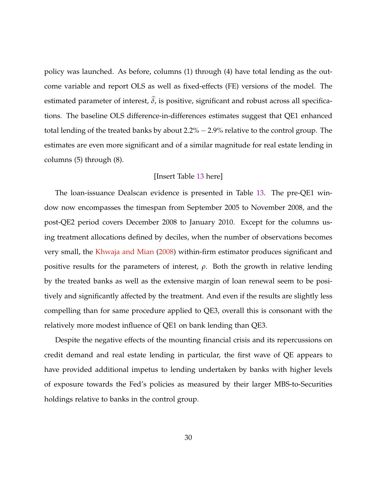policy was launched. As before, columns (1) through (4) have total lending as the outcome variable and report OLS as well as fixed-effects (FE) versions of the model. The estimated parameter of interest,  $\delta$ , is positive, significant and robust across all specifications. The baseline OLS difference-in-differences estimates suggest that QE1 enhanced total lending of the treated banks by about 2.2% − 2.9% relative to the control group. The estimates are even more significant and of a similar magnitude for real estate lending in columns (5) through (8).

### [Insert Table [13](#page-57-0) here]

The loan-issuance Dealscan evidence is presented in Table [13.](#page-57-0) The pre-QE1 window now encompasses the timespan from September 2005 to November 2008, and the post-QE2 period covers December 2008 to January 2010. Except for the columns using treatment allocations defined by deciles, when the number of observations becomes very small, the [Khwaja and Mian](#page-39-0) [\(2008\)](#page-39-0) within-firm estimator produces significant and positive results for the parameters of interest, *ρ*. Both the growth in relative lending by the treated banks as well as the extensive margin of loan renewal seem to be positively and significantly affected by the treatment. And even if the results are slightly less compelling than for same procedure applied to QE3, overall this is consonant with the relatively more modest influence of QE1 on bank lending than QE3.

Despite the negative effects of the mounting financial crisis and its repercussions on credit demand and real estate lending in particular, the first wave of QE appears to have provided additional impetus to lending undertaken by banks with higher levels of exposure towards the Fed's policies as measured by their larger MBS-to-Securities holdings relative to banks in the control group.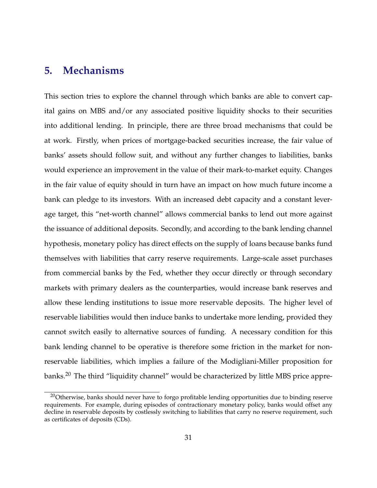## **5. Mechanisms**

This section tries to explore the channel through which banks are able to convert capital gains on MBS and/or any associated positive liquidity shocks to their securities into additional lending. In principle, there are three broad mechanisms that could be at work. Firstly, when prices of mortgage-backed securities increase, the fair value of banks' assets should follow suit, and without any further changes to liabilities, banks would experience an improvement in the value of their mark-to-market equity. Changes in the fair value of equity should in turn have an impact on how much future income a bank can pledge to its investors. With an increased debt capacity and a constant leverage target, this "net-worth channel" allows commercial banks to lend out more against the issuance of additional deposits. Secondly, and according to the bank lending channel hypothesis, monetary policy has direct effects on the supply of loans because banks fund themselves with liabilities that carry reserve requirements. Large-scale asset purchases from commercial banks by the Fed, whether they occur directly or through secondary markets with primary dealers as the counterparties, would increase bank reserves and allow these lending institutions to issue more reservable deposits. The higher level of reservable liabilities would then induce banks to undertake more lending, provided they cannot switch easily to alternative sources of funding. A necessary condition for this bank lending channel to be operative is therefore some friction in the market for nonreservable liabilities, which implies a failure of the Modigliani-Miller proposition for banks.<sup>20</sup> The third "liquidity channel" would be characterized by little MBS price appre-

<sup>&</sup>lt;sup>20</sup>Otherwise, banks should never have to forgo profitable lending opportunities due to binding reserve requirements. For example, during episodes of contractionary monetary policy, banks would offset any decline in reservable deposits by costlessly switching to liabilities that carry no reserve requirement, such as certificates of deposits (CDs).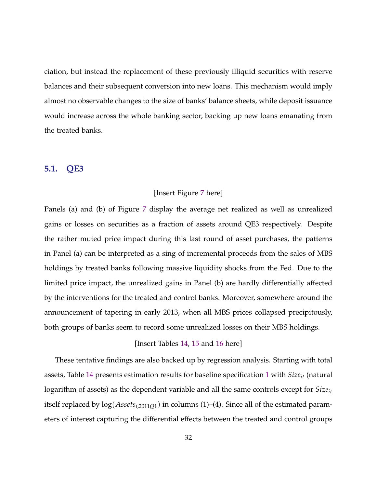ciation, but instead the replacement of these previously illiquid securities with reserve balances and their subsequent conversion into new loans. This mechanism would imply almost no observable changes to the size of banks' balance sheets, while deposit issuance would increase across the whole banking sector, backing up new loans emanating from the treated banks.

## **5.1. QE3**

#### [Insert Figure [7](#page-58-0) here]

Panels (a) and (b) of Figure [7](#page-58-0) display the average net realized as well as unrealized gains or losses on securities as a fraction of assets around QE3 respectively. Despite the rather muted price impact during this last round of asset purchases, the patterns in Panel (a) can be interpreted as a sing of incremental proceeds from the sales of MBS holdings by treated banks following massive liquidity shocks from the Fed. Due to the limited price impact, the unrealized gains in Panel (b) are hardly differentially affected by the interventions for the treated and control banks. Moreover, somewhere around the announcement of tapering in early 2013, when all MBS prices collapsed precipitously, both groups of banks seem to record some unrealized losses on their MBS holdings.

### [Insert Tables [14,](#page-59-0) [15](#page-60-0) and [16](#page-61-0) here]

These tentative findings are also backed up by regression analysis. Starting with total assets, Table [14](#page-59-0) presents estimation results for baseline specification [1](#page-16-0) with *Sizeit* (natural logarithm of assets) as the dependent variable and all the same controls except for *Sizeit* itself replaced by log(*Assetsi*,2011*Q*1) in columns (1)–(4). Since all of the estimated parameters of interest capturing the differential effects between the treated and control groups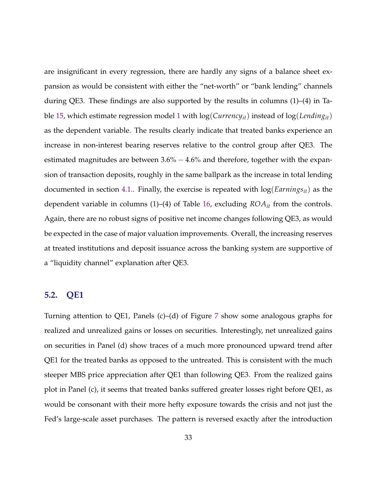are insignificant in every regression, there are hardly any signs of a balance sheet expansion as would be consistent with either the "net-worth" or "bank lending" channels during QE3. These findings are also supported by the results in columns (1)–(4) in Table [15,](#page-60-0) which estimate regression model [1](#page-16-0) with log(*Currencyit*) instead of log(*Lendingit*) as the dependent variable. The results clearly indicate that treated banks experience an increase in non-interest bearing reserves relative to the control group after QE3. The estimated magnitudes are between 3.6% − 4.6% and therefore, together with the expansion of transaction deposits, roughly in the same ballpark as the increase in total lending documented in section [4.1..](#page-14-0) Finally, the exercise is repeated with log(*Earningsit*) as the dependent variable in columns (1)–(4) of Table [16,](#page-61-0) excluding *ROAit* from the controls. Again, there are no robust signs of positive net income changes following QE3, as would be expected in the case of major valuation improvements. Overall, the increasing reserves at treated institutions and deposit issuance across the banking system are supportive of a "liquidity channel" explanation after QE3.

## **5.2. QE1**

Turning attention to QE1, Panels (c)–(d) of Figure [7](#page-58-0) show some analogous graphs for realized and unrealized gains or losses on securities. Interestingly, net unrealized gains on securities in Panel (d) show traces of a much more pronounced upward trend after QE1 for the treated banks as opposed to the untreated. This is consistent with the much steeper MBS price appreciation after QE1 than following QE3. From the realized gains plot in Panel (c), it seems that treated banks suffered greater losses right before QE1, as would be consonant with their more hefty exposure towards the crisis and not just the Fed's large-scale asset purchases. The pattern is reversed exactly after the introduction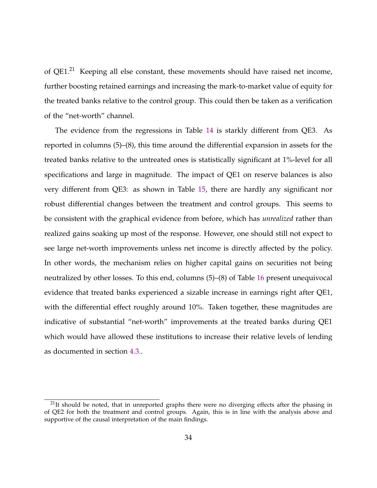of QE1.<sup>21</sup> Keeping all else constant, these movements should have raised net income, further boosting retained earnings and increasing the mark-to-market value of equity for the treated banks relative to the control group. This could then be taken as a verification of the "net-worth" channel.

The evidence from the regressions in Table [14](#page-59-0) is starkly different from QE3. As reported in columns (5)–(8), this time around the differential expansion in assets for the treated banks relative to the untreated ones is statistically significant at 1%-level for all specifications and large in magnitude. The impact of QE1 on reserve balances is also very different from QE3: as shown in Table [15,](#page-60-0) there are hardly any significant nor robust differential changes between the treatment and control groups. This seems to be consistent with the graphical evidence from before, which has *unrealized* rather than realized gains soaking up most of the response. However, one should still not expect to see large net-worth improvements unless net income is directly affected by the policy. In other words, the mechanism relies on higher capital gains on securities not being neutralized by other losses. To this end, columns (5)–(8) of Table [16](#page-61-0) present unequivocal evidence that treated banks experienced a sizable increase in earnings right after QE1, with the differential effect roughly around 10%. Taken together, these magnitudes are indicative of substantial "net-worth" improvements at the treated banks during QE1 which would have allowed these institutions to increase their relative levels of lending as documented in section [4.3..](#page-27-0)

 $21$ It should be noted, that in unreported graphs there were no diverging effects after the phasing in of QE2 for both the treatment and control groups. Again, this is in line with the analysis above and supportive of the causal interpretation of the main findings.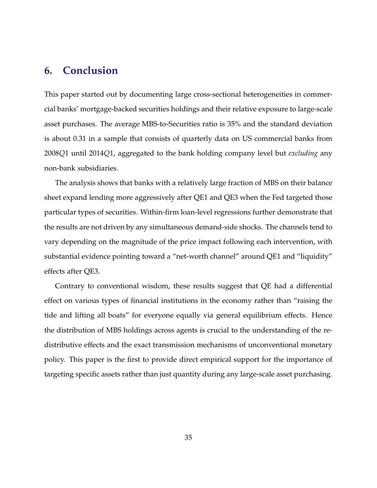## **6. Conclusion**

This paper started out by documenting large cross-sectional heterogeneities in commercial banks' mortgage-backed securities holdings and their relative exposure to large-scale asset purchases. The average MBS-to-Securities ratio is 35% and the standard deviation is about 0.31 in a sample that consists of quarterly data on US commercial banks from 2008*Q*1 until 2014*Q*1, aggregated to the bank holding company level but *excluding* any non-bank subsidiaries.

The analysis shows that banks with a relatively large fraction of MBS on their balance sheet expand lending more aggressively after QE1 and QE3 when the Fed targeted those particular types of securities. Within-firm loan-level regressions further demonstrate that the results are not driven by any simultaneous demand-side shocks. The channels tend to vary depending on the magnitude of the price impact following each intervention, with substantial evidence pointing toward a "net-worth channel" around QE1 and "liquidity" effects after QE3.

Contrary to conventional wisdom, these results suggest that QE had a differential effect on various types of financial institutions in the economy rather than "raising the tide and lifting all boats" for everyone equally via general equilibrium effects. Hence the distribution of MBS holdings across agents is crucial to the understanding of the redistributive effects and the exact transmission mechanisms of unconventional monetary policy. This paper is the first to provide direct empirical support for the importance of targeting specific assets rather than just quantity during any large-scale asset purchasing.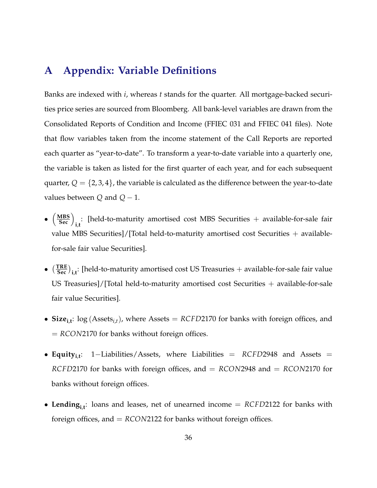## <span id="page-35-0"></span>**A Appendix: Variable Definitions**

Banks are indexed with *i*, whereas *t* stands for the quarter. All mortgage-backed securities price series are sourced from Bloomberg. All bank-level variables are drawn from the Consolidated Reports of Condition and Income (FFIEC 031 and FFIEC 041 files). Note that flow variables taken from the income statement of the Call Reports are reported each quarter as "year-to-date". To transform a year-to-date variable into a quarterly one, the variable is taken as listed for the first quarter of each year, and for each subsequent quarter,  $Q = \{2, 3, 4\}$ , the variable is calculated as the difference between the year-to-date values between  $Q$  and  $Q - 1$ .

- $\bullet$   $\left(\frac{\text{MBS}}{\text{Sec}}\right)_{i,t}$ : [held-to-maturity amortised cost MBS Securities + available-for-sale fair value MBS Securities]/[Total held-to-maturity amortised cost Securities + availablefor-sale fair value Securities].
- $\bullet$   $\left(\frac{TRUE}{Sec}\right)_{i,t}$ : [held-to-maturity amortised cost US Treasuries + available-for-sale fair value US Treasuries]/[Total held-to-maturity amortised cost Securities + available-for-sale fair value Securities].
- **Size**<sub>i,t</sub>:  $\log(A{\text{ssets}}_{i,t})$ , where Assets = *RCFD2170* for banks with foreign offices, and = *RCON*2170 for banks without foreign offices.
- **Equityi**,**<sup>t</sup>** : 1−Liabilities/Assets, where Liabilities = *RCFD*2948 and Assets = *RCFD*2170 for banks with foreign offices, and = *RCON*2948 and = *RCON*2170 for banks without foreign offices.
- **Lendingi**,**<sup>t</sup>** : loans and leases, net of unearned income = *RCFD*2122 for banks with foreign offices, and = *RCON*2122 for banks without foreign offices.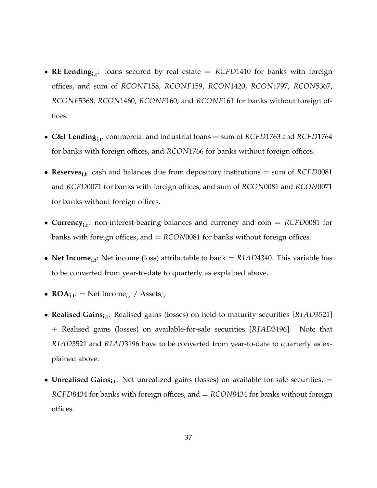- **RE Lendingi**,**<sup>t</sup>** : loans secured by real estate = *RCFD*1410 for banks with foreign offices, and sum of *RCONF*158, *RCONF*159, *RCON*1420, *RCON*1797, *RCON*5367, *RCONF*5368, *RCON*1460, *RCONF*160, and *RCONF*161 for banks without foreign offices.
- **C&I Lendingi**,**<sup>t</sup>** : commercial and industrial loans = sum of *RCFD*1763 and *RCFD*1764 for banks with foreign offices, and *RCON*1766 for banks without foreign offices.
- **Reservesi**,**<sup>t</sup>** : cash and balances due from depository institutions = sum of *RCFD*0081 and *RCFD*0071 for banks with foreign offices, and sum of *RCON*0081 and *RCON*0071 for banks without foreign offices.
- **Currencyi**,**<sup>t</sup>** : non-interest-bearing balances and currency and coin = *RCFD*0081 for banks with foreign offices, and = *RCON*0081 for banks without foreign offices.
- **Net Income**<sub>i,t</sub>: Net income (loss) attributable to bank = *RIAD*4340. This variable has to be converted from year-to-date to quarterly as explained above.
- $\text{ROA}_{i,t}$ : = Net Income<sub>*i*,*t*</sub> / Assets<sub>*i*,*t*</sub>
- **Realised Gainsi**,**<sup>t</sup>** : Realised gains (losses) on held-to-maturity securities [*RIAD*3521] + Realised gains (losses) on available-for-sale securities [*RIAD*3196]. Note that *RIAD*3521 and *RIAD*3196 have to be converted from year-to-date to quarterly as explained above.
- **Unrealised Gainsi**,**<sup>t</sup>** : Net unrealized gains (losses) on available-for-sale securities, = *RCFD*8434 for banks with foreign offices, and = *RCON*8434 for banks without foreign offices.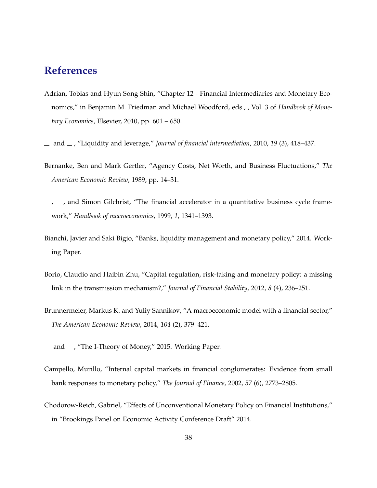## <span id="page-37-0"></span>**References**

- Adrian, Tobias and Hyun Song Shin, "Chapter 12 Financial Intermediaries and Monetary Economics," in Benjamin M. Friedman and Michael Woodford, eds., , Vol. 3 of *Handbook of Monetary Economics*, Elsevier, 2010, pp. 601 – 650.
- and , "Liquidity and leverage," *Journal of financial intermediation*, 2010, *19* (3), 418–437.
- Bernanke, Ben and Mark Gertler, "Agency Costs, Net Worth, and Business Fluctuations," *The American Economic Review*, 1989, pp. 14–31.
- $\mu$ ,  $\mu$ , and Simon Gilchrist, "The financial accelerator in a quantitative business cycle framework," *Handbook of macroeconomics*, 1999, *1*, 1341–1393.
- Bianchi, Javier and Saki Bigio, "Banks, liquidity management and monetary policy," 2014. Working Paper.
- Borio, Claudio and Haibin Zhu, "Capital regulation, risk-taking and monetary policy: a missing link in the transmission mechanism?," *Journal of Financial Stability*, 2012, *8* (4), 236–251.
- Brunnermeier, Markus K. and Yuliy Sannikov, "A macroeconomic model with a financial sector," *The American Economic Review*, 2014, *104* (2), 379–421.
- $\mu$  and  $\mu$ , "The I-Theory of Money," 2015. Working Paper.
- Campello, Murillo, "Internal capital markets in financial conglomerates: Evidence from small bank responses to monetary policy," *The Journal of Finance*, 2002, *57* (6), 2773–2805.
- Chodorow-Reich, Gabriel, "Effects of Unconventional Monetary Policy on Financial Institutions," in "Brookings Panel on Economic Activity Conference Draft" 2014.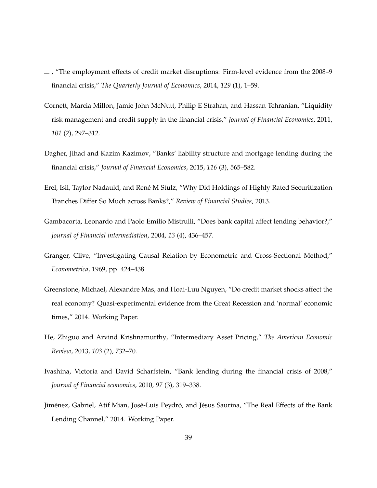- <span id="page-38-0"></span> $\sim$ , "The employment effects of credit market disruptions: Firm-level evidence from the 2008–9 financial crisis," *The Quarterly Journal of Economics*, 2014, *129* (1), 1–59.
- Cornett, Marcia Millon, Jamie John McNutt, Philip E Strahan, and Hassan Tehranian, "Liquidity risk management and credit supply in the financial crisis," *Journal of Financial Economics*, 2011, *101* (2), 297–312.
- Dagher, Jihad and Kazim Kazimov, "Banks' liability structure and mortgage lending during the financial crisis," *Journal of Financial Economics*, 2015, *116* (3), 565–582.
- Erel, Isil, Taylor Nadauld, and René M Stulz, "Why Did Holdings of Highly Rated Securitization Tranches Differ So Much across Banks?," *Review of Financial Studies*, 2013.
- Gambacorta, Leonardo and Paolo Emilio Mistrulli, "Does bank capital affect lending behavior?," *Journal of Financial intermediation*, 2004, *13* (4), 436–457.
- Granger, Clive, "Investigating Causal Relation by Econometric and Cross-Sectional Method," *Econometrica*, 1969, pp. 424–438.
- Greenstone, Michael, Alexandre Mas, and Hoai-Luu Nguyen, "Do credit market shocks affect the real economy? Quasi-experimental evidence from the Great Recession and 'normal' economic times," 2014. Working Paper.
- He, Zhiguo and Arvind Krishnamurthy, "Intermediary Asset Pricing," *The American Economic Review*, 2013, *103* (2), 732–70.
- Ivashina, Victoria and David Scharfstein, "Bank lending during the financial crisis of 2008," *Journal of Financial economics*, 2010, *97* (3), 319–338.
- Jiménez, Gabriel, Atif Mian, José-Luis Peydró, and Jésus Saurina, "The Real Effects of the Bank Lending Channel," 2014. Working Paper.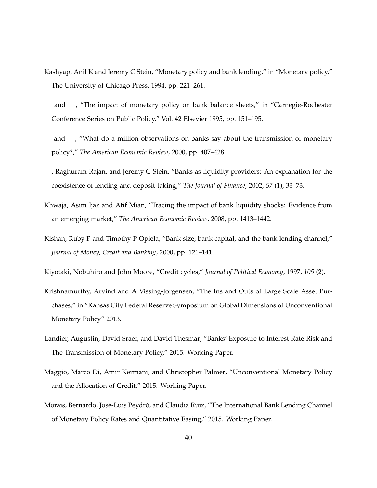- <span id="page-39-0"></span>Kashyap, Anil K and Jeremy C Stein, "Monetary policy and bank lending," in "Monetary policy," The University of Chicago Press, 1994, pp. 221–261.
- $\mu$  and  $\mu$ , "The impact of monetary policy on bank balance sheets," in "Carnegie-Rochester Conference Series on Public Policy," Vol. 42 Elsevier 1995, pp. 151–195.
- $\equiv$  and  $\equiv$  , "What do a million observations on banks say about the transmission of monetary policy?," *The American Economic Review*, 2000, pp. 407–428.
- $\sim$ , Raghuram Rajan, and Jeremy C Stein, "Banks as liquidity providers: An explanation for the coexistence of lending and deposit-taking," *The Journal of Finance*, 2002, *57* (1), 33–73.
- Khwaja, Asim Ijaz and Atif Mian, "Tracing the impact of bank liquidity shocks: Evidence from an emerging market," *The American Economic Review*, 2008, pp. 1413–1442.
- Kishan, Ruby P and Timothy P Opiela, "Bank size, bank capital, and the bank lending channel," *Journal of Money, Credit and Banking*, 2000, pp. 121–141.
- Kiyotaki, Nobuhiro and John Moore, "Credit cycles," *Journal of Political Economy*, 1997, *105* (2).
- Krishnamurthy, Arvind and A Vissing-Jorgensen, "The Ins and Outs of Large Scale Asset Purchases," in "Kansas City Federal Reserve Symposium on Global Dimensions of Unconventional Monetary Policy" 2013.
- Landier, Augustin, David Sraer, and David Thesmar, "Banks' Exposure to Interest Rate Risk and The Transmission of Monetary Policy," 2015. Working Paper.
- Maggio, Marco Di, Amir Kermani, and Christopher Palmer, "Unconventional Monetary Policy and the Allocation of Credit," 2015. Working Paper.
- Morais, Bernardo, José-Luis Peydró, and Claudia Ruiz, "The International Bank Lending Channel of Monetary Policy Rates and Quantitative Easing," 2015. Working Paper.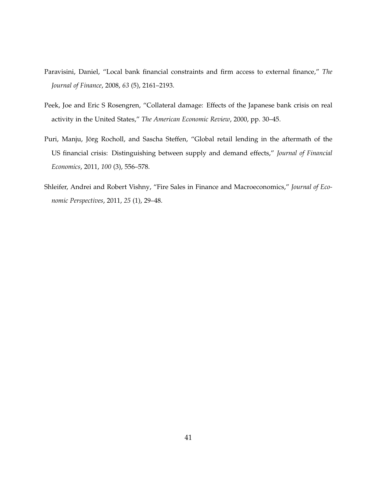- <span id="page-40-0"></span>Paravisini, Daniel, "Local bank financial constraints and firm access to external finance," *The Journal of Finance*, 2008, *63* (5), 2161–2193.
- Peek, Joe and Eric S Rosengren, "Collateral damage: Effects of the Japanese bank crisis on real activity in the United States," *The American Economic Review*, 2000, pp. 30–45.
- Puri, Manju, Jörg Rocholl, and Sascha Steffen, "Global retail lending in the aftermath of the US financial crisis: Distinguishing between supply and demand effects," *Journal of Financial Economics*, 2011, *100* (3), 556–578.
- Shleifer, Andrei and Robert Vishny, "Fire Sales in Finance and Macroeconomics," *Journal of Economic Perspectives*, 2011, *25* (1), 29–48.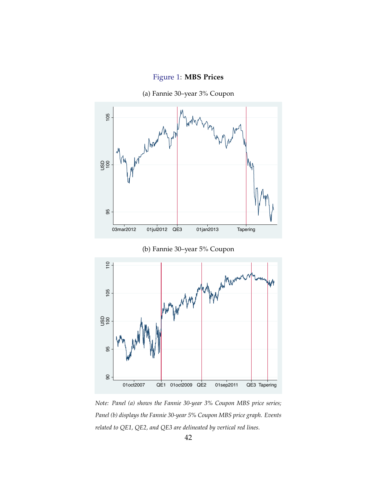

<span id="page-41-0"></span>

(a) Fannie 30–year 3% Coupon



 $\overline{8}$  -

01oct2007 QE1 01oct2009 QE2 01sep2011 QE3 Tapering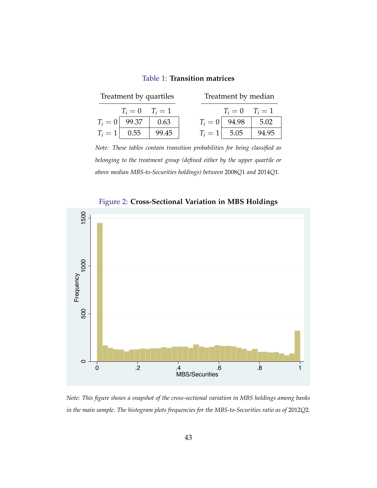| Table 1: Transition matrices |
|------------------------------|
|------------------------------|

<span id="page-42-0"></span>

|                | Treatment by quartiles |       | Treatment by median |                     |       |  |  |  |
|----------------|------------------------|-------|---------------------|---------------------|-------|--|--|--|
|                | $T_i = 0$ $T_i = 1$    |       |                     | $T_i = 0$ $T_i = 1$ |       |  |  |  |
|                | $T_i = 0$ 99.37        | 0.63  |                     | $T_i = 0$ 94.98     | 5.02  |  |  |  |
| $T_i = 1$ 0.55 |                        | 99.45 | $T_i = 1$ 5.05      |                     | 94.95 |  |  |  |

*Note: These tables contain transition probabilities for being classified as belonging to the treatment group (defined either by the upper quartile or above median MBS-to-Securities holdings) between* 2008*Q*1 *and* 2014*Q*1*.*



Figure 2: **Cross-Sectional Variation in MBS Holdings**

*Note: This figure shows a snapshot of the cross-sectional variation in MBS holdings among banks in the main sample. The histogram plots frequencies for the MBS-to-Securities ratio as of* 2012*Q*2*.*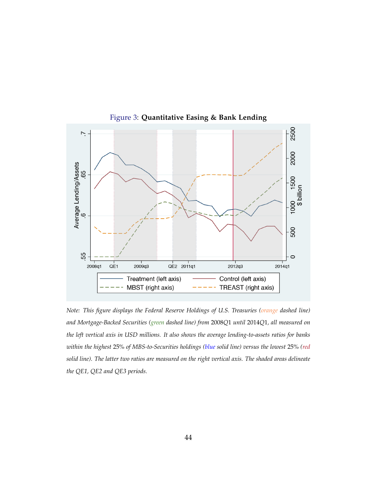<span id="page-43-0"></span>

Figure 3: **Quantitative Easing & Bank Lending**

*Note: This figure displays the Federal Reserve Holdings of U.S. Treasuries (orange dashed line) and Mortgage-Backed Securities (green dashed line) from* 2008*Q*1 *until* 2014*Q*1*, all measured on the left vertical axis in USD millions. It also shows the average lending-to-assets ratios for banks within the highest* 25% *of MBS-to-Securities holdings (blue solid line) versus the lowest* 25% *(red solid line). The latter two ratios are measured on the right vertical axis. The shaded areas delineate the QE1, QE2 and QE3 periods.*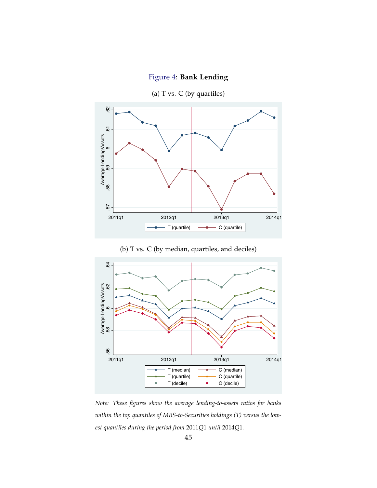

<span id="page-44-0"></span>

(b) T vs. C (by median, quartiles, and deciles)



*Note: These figures show the average lending-to-assets ratios for banks within the top quantiles of MBS-to-Securities holdings (T) versus the lowest quantiles during the period from* 2011*Q*1 *until* 2014*Q*1*.*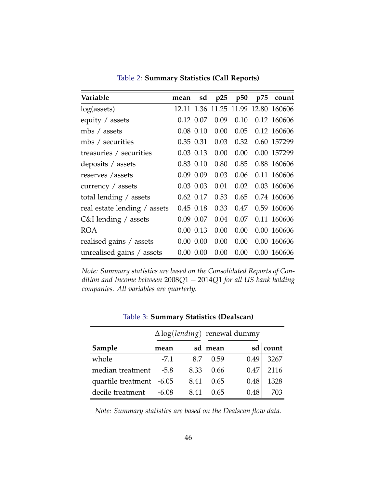<span id="page-45-0"></span>

| Variable                     | mean | sd            | p25  | p50  | p75 | count                               |
|------------------------------|------|---------------|------|------|-----|-------------------------------------|
| log(asserts)                 |      |               |      |      |     | 12.11 1.36 11.25 11.99 12.80 160606 |
| equity / assets              |      | 0.12 0.07     | 0.09 | 0.10 |     | 0.12 160606                         |
| mbs / assets                 |      | $0.08$ $0.10$ | 0.00 | 0.05 |     | 0.12 160606                         |
| mbs / securities             |      | 0.35 0.31     | 0.03 | 0.32 |     | 0.60 157299                         |
| treasuries / securities      |      | $0.03$ 0.13   | 0.00 | 0.00 |     | 0.00 157299                         |
| deposits / assets            |      | $0.83$ $0.10$ | 0.80 | 0.85 |     | 0.88 160606                         |
| reserves / assets            |      | 0.09 0.09     | 0.03 | 0.06 |     | 0.11 160606                         |
| currency / assets            |      | $0.03$ 0.03   | 0.01 | 0.02 |     | 0.03 160606                         |
| total lending / assets       |      | $0.62$ 0.17   | 0.53 | 0.65 |     | 0.74 160606                         |
| real estate lending / assets |      | $0.45$ 0.18   | 0.33 | 0.47 |     | 0.59 160606                         |
| C&I lending / assets         |      | 0.09 0.07     | 0.04 | 0.07 |     | 0.11 160606                         |
| <b>ROA</b>                   |      | $0.00$ $0.13$ | 0.00 | 0.00 |     | 0.00 160606                         |
| realised gains / assets      |      | $0.00\ 0.00$  | 0.00 | 0.00 |     | 0.00 160606                         |
| unrealised gains / assets    |      | $0.00\ 0.00$  | 0.00 | 0.00 |     | 0.00 160606                         |

Table 2: **Summary Statistics (Call Reports)**

*Note: Summary statistics are based on the Consolidated Reports of Condition and Income between* 2008*Q*1 − 2014*Q*1 *for all US bank holding companies. All variables are quarterly.*

|                    |         | $\Delta \log (lending)$ renewal dummy |           |      |          |
|--------------------|---------|---------------------------------------|-----------|------|----------|
| Sample             | mean    |                                       | sd   mean |      | sd count |
| whole              | $-7.1$  | 8.7                                   | 0.59      | 0.49 | 3267     |
| median treatment   | $-5.8$  | 8.33                                  | 0.66      | 0.47 | 2116     |
| quartile treatment | $-6.05$ | 8.41                                  | 0.65      | 0.48 | 1328     |
| decile treatment   | $-6.08$ | 8.41                                  | 0.65      | 0.48 | 703      |

Table 3: **Summary Statistics (Dealscan)**

*Note: Summary statistics are based on the Dealscan flow data.*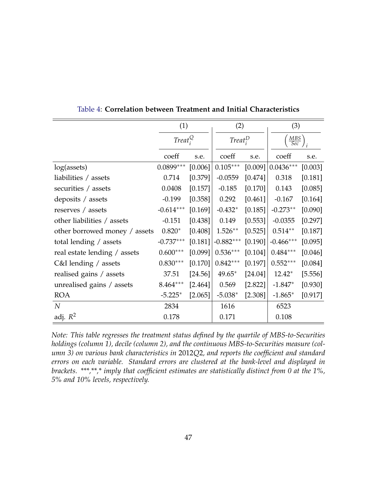<span id="page-46-0"></span>

|                               | (1)                             |         | (2)                             |         | (3)               |         |
|-------------------------------|---------------------------------|---------|---------------------------------|---------|-------------------|---------|
|                               | Treat <sub>i</sub> <sup>Q</sup> |         | Treat <sub>i</sub> <sup>D</sup> |         | $\frac{MBS}{Sec}$ |         |
|                               | coeff                           | s.e.    | coeff                           | s.e.    | coeff             | s.e.    |
| log(assets)                   | $0.0899***$                     | [0.006] | $0.105***$                      | [0.009] | $0.0436***$       | [0.003] |
| liabilities / assets          | 0.714                           | [0.379] | $-0.0559$                       | [0.474] | 0.318             | [0.181] |
| securities / assets           | 0.0408                          | [0.157] | $-0.185$                        | [0.170] | 0.143             | [0.085] |
| deposits / assets             | $-0.199$                        | [0.358] | 0.292                           | [0.461] | $-0.167$          | [0.164] |
| reserves / assets             | $-0.614***$                     | [0.169] | $-0.432*$                       | [0.185] | $-0.273**$        | [0.090] |
| other liabilities / assets    | $-0.151$                        | [0.438] | 0.149                           | [0.553] | $-0.0355$         | [0.297] |
| other borrowed money / assets | $0.820*$                        | [0.408] | $1.526**$                       | [0.525] | $0.514**$         | [0.187] |
| total lending / assets        | $-0.737***$                     | [0.181] | $-0.882***$                     | [0.190] | $-0.466***$       | [0.095] |
| real estate lending / assets  | $0.600***$                      | [0.099] | $0.536***$                      | [0.104] | $0.484***$        | [0.046] |
| $C&I$ lending / assets        | $0.830***$                      | [0.170] | $0.842***$                      | [0.197] | $0.552***$        | [0.084] |
| realised gains / assets       | 37.51                           | [24.56] | $49.65*$                        | [24.04] | $12.42*$          | [5.556] |
| unrealised gains / assets     | $8.464***$                      | [2.464] | 0.569                           | [2.822] | $-1.847*$         | [0.930] |
| <b>ROA</b>                    | $-5.225*$                       | [2.065] | $-5.038*$                       | [2.308] | $-1.865*$         | [0.917] |
| $\boldsymbol{N}$              | 2834                            |         | 1616                            |         | 6523              |         |
| adj. $R^2$                    | 0.178                           |         | 0.171                           |         | 0.108             |         |

Table 4: **Correlation between Treatment and Initial Characteristics**

*Note: This table regresses the treatment status defined by the quartile of MBS-to-Securities holdings (column 1), decile (column 2), and the continuous MBS-to-Securities measure (column 3) on various bank characteristics in* 2012*Q*2*, and reports the coefficient and standard errors on each variable. Standard errors are clustered at the bank-level and displayed in brackets. \*\*\*,\*\*,\* imply that coefficient estimates are statistically distinct from 0 at the 1%, 5% and 10% levels, respectively.*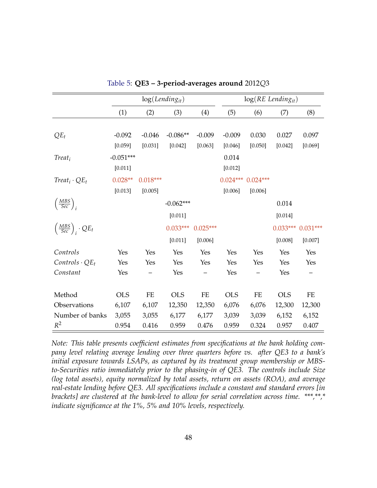<span id="page-47-0"></span>

|                                             |             | $log(Lending_{it})$ |             |            |            | $log(RE$ Lending <sub>it</sub> ) |            |            |
|---------------------------------------------|-------------|---------------------|-------------|------------|------------|----------------------------------|------------|------------|
|                                             | (1)         | (2)                 | (3)         | (4)        | (5)        | (6)                              | (7)        | (8)        |
|                                             |             |                     |             |            |            |                                  |            |            |
| $QE_t$                                      | $-0.092$    | $-0.046$            | $-0.086**$  | $-0.009$   | $-0.009$   | 0.030                            | 0.027      | 0.097      |
|                                             | [0.059]     | [0.031]             | [0.042]     | [0.063]    | [0.046]    | [0.050]                          | [0.042]    | [0.069]    |
| $Treat_i$                                   | $-0.051***$ |                     |             |            | 0.014      |                                  |            |            |
|                                             | [0.011]     |                     |             |            | [0.012]    |                                  |            |            |
| $Treat_i \cdot QE_t$                        | $0.028**$   | $0.018***$          |             |            | $0.024***$ | $0.024***$                       |            |            |
|                                             | [0.013]     | [0.005]             |             |            | [0.006]    | [0.006]                          |            |            |
| $\left(\frac{MBS}{Sec}\right)_i$            |             |                     | $-0.062***$ |            |            |                                  | 0.014      |            |
|                                             |             |                     | [0.011]     |            |            |                                  | [0.014]    |            |
| $\left(\frac{MBS}{Sec}\right)_i \cdot QE_t$ |             |                     | $0.033***$  | $0.025***$ |            |                                  | $0.033***$ | $0.031***$ |
|                                             |             |                     | [0.011]     | [0.006]    |            |                                  | [0.008]    | [0.007]    |
| Controls                                    | Yes         | Yes                 | Yes         | Yes        | Yes        | Yes                              | Yes        | Yes        |
| $\textit{Contents} \cdot \textit{QE}_t$     | Yes         | Yes                 | Yes         | Yes        | Yes        | Yes                              | Yes        | Yes        |
| Constant                                    | Yes         |                     | Yes         |            | Yes        |                                  | Yes        |            |
|                                             |             |                     |             |            |            |                                  |            |            |
| Method                                      | <b>OLS</b>  | $\rm FE$            | <b>OLS</b>  | ${\rm FE}$ | <b>OLS</b> | $\rm FE$                         | <b>OLS</b> | $\rm FE$   |
| Observations                                | 6,107       | 6,107               | 12,350      | 12,350     | 6,076      | 6,076                            | 12,300     | 12,300     |
| Number of banks                             | 3,055       | 3,055               | 6,177       | 6,177      | 3,039      | 3,039                            | 6,152      | 6,152      |
| $R^2$                                       | 0.954       | 0.416               | 0.959       | 0.476      | 0.959      | 0.324                            | 0.957      | 0.407      |

Table 5: **QE3 – 3-period-averages around** 2012*Q*3

*Note: This table presents coefficient estimates from specifications at the bank holding company level relating average lending over three quarters before vs. after QE3 to a bank's initial exposure towards LSAPs, as captured by its treatment group membership or MBSto-Securities ratio immediately prior to the phasing-in of QE3. The controls include Size (log total assets), equity normalized by total assets, return on assets (ROA), and average real-estate lending before QE3. All specifications include a constant and standard errors [in brackets] are clustered at the bank-level to allow for serial correlation across time. \*\*\*,\*\*,\* indicate significance at the 1%, 5% and 10% levels, respectively.*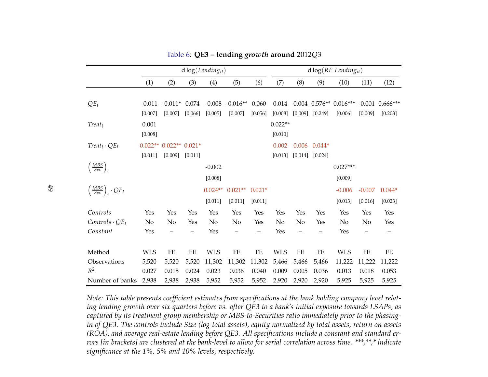<span id="page-48-0"></span>

|                                             |            |                          |          | $d \log (Lending_{it})$ |            |          |            |       |                     | $d \log(RE\ Lending_{it})$   |          |                     |
|---------------------------------------------|------------|--------------------------|----------|-------------------------|------------|----------|------------|-------|---------------------|------------------------------|----------|---------------------|
|                                             | (1)        | (2)                      | (3)      | (4)                     | (5)        | (6)      | (7)        | (8)   | (9)                 | (10)                         | (11)     | (12)                |
|                                             |            |                          |          |                         |            |          |            |       |                     |                              |          |                     |
| $QE_t$                                      | $-0.011$   | $-0.011*$ 0.074          |          | $-0.008$                | $-0.016**$ | 0.060    | 0.014      |       |                     | $0.004$ $0.576**$ $0.016***$ |          | $-0.001$ $0.666***$ |
|                                             | [0.007]    | [0.007]                  | [0.066]  | [0.005]                 | [0.007]    | [0.056]  | [0.008]    |       | $[0.009]$ $[0.249]$ | [0.006]                      | [0.009]  | [0.203]             |
| $Treat_i$                                   | 0.001      |                          |          |                         |            |          | $0.022**$  |       |                     |                              |          |                     |
|                                             | [0.008]    |                          |          |                         |            |          | [0.010]    |       |                     |                              |          |                     |
| $Treat_i \cdot QE_t$                        |            | $0.022** 0.022** 0.021*$ |          |                         |            |          | 0.002      |       | $0.006$ $0.044*$    |                              |          |                     |
|                                             | [0.011]    | [0.009]                  | [0.011]  |                         |            |          | [0.013]    |       | $[0.014]$ $[0.024]$ |                              |          |                     |
| $\left(\frac{MBS}{Sec}\right)_i$            |            |                          |          | $-0.002$                |            |          |            |       |                     | $0.027***$                   |          |                     |
|                                             |            |                          |          | [0.008]                 |            |          |            |       |                     | [0.009]                      |          |                     |
| $\left(\frac{MBS}{Sec}\right)_i \cdot QE_t$ |            |                          |          | $0.024**$               | $0.021**$  | $0.021*$ |            |       |                     | $-0.006$                     | $-0.007$ | $0.044*$            |
|                                             |            |                          |          | [0.011]                 | [0.011]    | [0.011]  |            |       |                     | [0.013]                      | [0.016]  | [0.023]             |
|                                             |            |                          |          |                         |            |          |            |       |                     |                              |          |                     |
| Controls                                    | Yes        | Yes                      | Yes      | Yes                     | Yes        | Yes      | Yes        | Yes   | Yes                 | Yes                          | Yes      | Yes                 |
| $\textit{Contents} \cdot \textit{QE}_t$     | No         | No                       | Yes      | No                      | No         | Yes      | No         | No    | Yes                 | No                           | No       | Yes                 |
| Constant                                    | Yes        |                          |          | Yes                     |            |          | Yes        |       |                     | Yes                          |          |                     |
|                                             |            |                          |          |                         |            |          |            |       |                     |                              |          |                     |
| Method                                      | <b>WLS</b> | FE                       | $\rm FE$ | <b>WLS</b>              | $\rm FE$   | $\rm FE$ | <b>WLS</b> | FE    | ${\rm FE}$          | <b>WLS</b>                   | $\rm FE$ | ${\rm FE}$          |
| Observations                                | 5,520      | 5,520                    | 5,520    | 11,302                  | 11,302     | 11,302   | 5,466      | 5,466 | 5,466               | 11,222                       | 11,222   | 11,222              |
| $R^2$                                       | 0.027      | 0.015                    | 0.024    | 0.023                   | 0.036      | 0.040    | 0.009      | 0.005 | 0.036               | 0.013                        | 0.018    | 0.053               |
| Number of banks                             | 2,938      | 2,938                    | 2,938    | 5,952                   | 5,952      | 5,952    | 2,920      | 2,920 | 2,920               | 5,925                        | 5,925    | 5,925               |

Table 6: **QE3 – lending** *growth* **around** <sup>2012</sup>*Q*<sup>3</sup>

Note: This table presents coefficient estimates from specifications at the bank holding company level relating lending growth over six quarters before vs. after QE3 to a bank's initial exposure towards LSAPs, as -captured by its treatment group membership or MBS-to-Securities ratio immediately prior to the phasing in of QE3. The controls include Size (log total assets), equity normalized by total assets, return on assets (ROA), and average real-estate lending before QE3. All specifications include a constant and standard errors [in brackets] are clustered at the bank-level to allow for serial correlation across time. \*\*\*,\*\*,\* indicate *significance at the 1%, 5% and 10% levels, respectively.*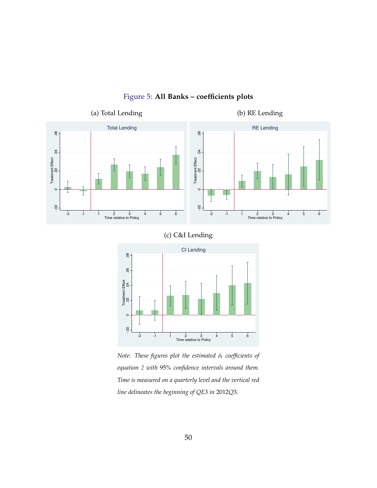<span id="page-49-0"></span>

## Figure 5: **All Banks – coefficients plots**





*Note: These figures plot the estimated δ<sup>t</sup> coefficients of equation [2](#page-19-0) with* 95% *confidence intervals around them. Time is measured on a quarterly level and the vertical red line delineates the beginning of QE3 in* 2012*Q*3*.*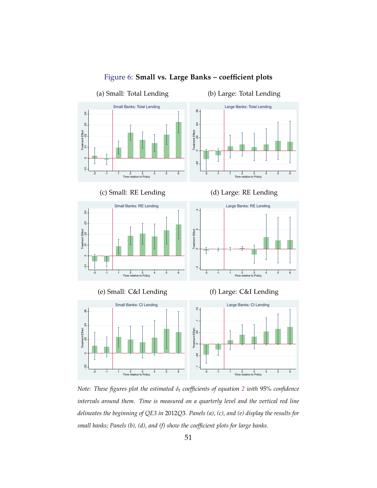<span id="page-50-0"></span>

Figure 6: **Small vs. Large Banks – coefficient plots**

*Note: These figures plot the estimated δ<sup>t</sup> coefficients of equation [2](#page-19-0) with* 95% *confidence intervals around them. Time is measured on a quarterly level and the vertical red line delineates the beginning of QE3 in* 2012*Q*3*. Panels (a), (c), and (e) display the results for small banks; Panels (b), (d), and (f) show the coefficient plots for large banks.*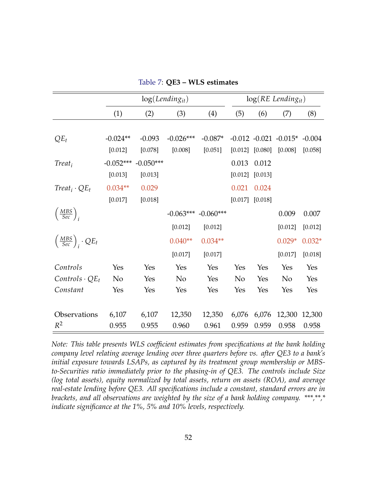<span id="page-51-0"></span>

|                                             |                | log(Length) |                         |           |         |                     | $log(RE$ Lending <sub>it</sub> )     |          |
|---------------------------------------------|----------------|-------------|-------------------------|-----------|---------|---------------------|--------------------------------------|----------|
|                                             | (1)            | (2)         | (3)                     | (4)       | (5)     | (6)                 | (7)                                  | (8)      |
|                                             |                |             |                         |           |         |                     |                                      |          |
| $QE_t$                                      | $-0.024**$     | $-0.093$    | $-0.026***$             | $-0.087*$ |         |                     | $-0.012$ $-0.021$ $-0.015*$ $-0.004$ |          |
|                                             | [0.012]        | [0.078]     | [0.008]                 | [0.051]   |         | $[0.012]$ $[0.080]$ | [0.008]                              | [0.058]  |
| $Treat_i$                                   | $-0.052***$    | $-0.050***$ |                         |           | 0.013   | 0.012               |                                      |          |
|                                             | [0.013]        | [0.013]     |                         |           | [0.012] | [0.013]             |                                      |          |
| $Treat_i \cdot QE_t$                        | $0.034**$      | 0.029       |                         |           | 0.021   | 0.024               |                                      |          |
|                                             | [0.017]        | [0.018]     |                         |           |         | $[0.017]$ $[0.018]$ |                                      |          |
| $\left(\frac{MBS}{Sec}\right)_i$            |                |             | $-0.063***$ $-0.060***$ |           |         |                     | 0.009                                | 0.007    |
|                                             |                |             | [0.012]                 | [0.012]   |         |                     | [0.012]                              | [0.012]  |
| $\left(\frac{MBS}{Sec}\right)_i \cdot QE_t$ |                |             | $0.040**$               | $0.034**$ |         |                     | $0.029*$                             | $0.032*$ |
|                                             |                |             | [0.017]                 | [0.017]   |         |                     | [0.017]                              | [0.018]  |
| Controls                                    | Yes            | Yes         | Yes                     | Yes       | Yes     | Yes                 | Yes                                  | Yes      |
| $\textit{Contents} \cdot \textit{QE}_t$     | N <sub>o</sub> | Yes         | No                      | Yes       | No      | Yes                 | N <sub>o</sub>                       | Yes      |
| Constant                                    | Yes            | Yes         | Yes                     | Yes       | Yes     | Yes                 | Yes                                  | Yes      |
|                                             |                |             |                         |           |         |                     |                                      |          |
| Observations                                | 6,107          | 6,107       | 12,350                  | 12,350    | 6,076   | 6,076               | 12,300                               | 12,300   |
| $R^2$                                       | 0.955          | 0.955       | 0.960                   | 0.961     | 0.959   | 0.959               | 0.958                                | 0.958    |

Table 7: **QE3 – WLS estimates**

*Note: This table presents WLS coefficient estimates from specifications at the bank holding company level relating average lending over three quarters before vs. after QE3 to a bank's initial exposure towards LSAPs, as captured by its treatment group membership or MBSto-Securities ratio immediately prior to the phasing-in of QE3. The controls include Size (log total assets), equity normalized by total assets, return on assets (ROA), and average real-estate lending before QE3. All specifications include a constant, standard errors are in brackets, and all observations are weighted by the size of a bank holding company. \*\*\*,\*\*,\* indicate significance at the 1%, 5% and 10% levels, respectively.*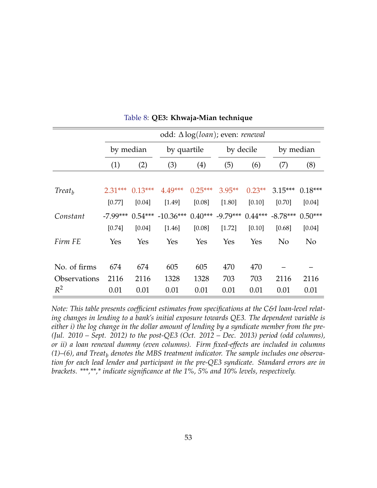<span id="page-52-0"></span>

|                    |            | odd: Δlog(loan); even: renewal |                                        |             |           |          |            |           |  |  |  |
|--------------------|------------|--------------------------------|----------------------------------------|-------------|-----------|----------|------------|-----------|--|--|--|
|                    |            | by median                      |                                        | by quartile | by decile |          | by median  |           |  |  |  |
|                    | (1)        | (2)                            | (3)                                    | (4)         | (5)       | (6)      | (7)        | (8)       |  |  |  |
|                    |            |                                |                                        |             |           |          |            |           |  |  |  |
| Treat <sub>h</sub> | $2.31***$  | $0.13***$                      | $4.49***$                              | $0.25***$   | $3.95**$  | $0.23**$ | $3.15***$  | $0.18***$ |  |  |  |
|                    | [0.77]     | [0.04]                         | [1.49]                                 | [0.08]      | [1.80]    | [0.10]   | [0.70]     | [0.04]    |  |  |  |
| Constant           | $-7.99***$ | $0.54***$                      | $-10.36***$ 0.40*** $-9.79***$ 0.44*** |             |           |          | $-8.78***$ | $0.50***$ |  |  |  |
|                    | [0.74]     | [0.04]                         | [1.46]                                 | [0.08]      | [1.72]    | [0.10]   | [0.68]     | $[0.04]$  |  |  |  |
| Firm FE            | Yes        | Yes                            | Yes                                    | Yes         | Yes       | Yes      | No         | No        |  |  |  |
|                    |            |                                |                                        |             |           |          |            |           |  |  |  |
| No. of firms       | 674        | 674                            | 605                                    | 605         | 470       | 470      |            |           |  |  |  |
| Observations       | 2116       | 2116                           | 1328                                   | 1328        | 703       | 703      | 2116       | 2116      |  |  |  |
| $R^2$              | 0.01       | 0.01                           | 0.01                                   | 0.01        | 0.01      | 0.01     | 0.01       | 0.01      |  |  |  |

Table 8: **QE3: Khwaja-Mian technique**

*Note: This table presents coefficient estimates from specifications at the C&I loan-level relating changes in lending to a bank's initial exposure towards QE3. The dependent variable is either i) the log change in the dollar amount of lending by a syndicate member from the pre- (Jul. 2010 – Sept. 2012) to the post-QE3 (Oct. 2012 – Dec. 2013) period (odd columns), or ii) a loan renewal dummy (even columns). Firm fixed-effects are included in columns (1)–(6), and Treat<sup>b</sup> denotes the MBS treatment indicator. The sample includes one observation for each lead lender and participant in the pre-QE3 syndicate. Standard errors are in brackets. \*\*\*,\*\*,\* indicate significance at the 1%, 5% and 10% levels, respectively.*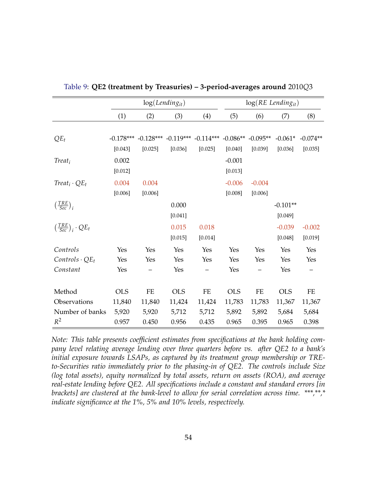|                                             |             |         | $log(Lending_{it})$                                       |                   |            | $log(RE$ Lending <sub>it</sub> ) |            |            |
|---------------------------------------------|-------------|---------|-----------------------------------------------------------|-------------------|------------|----------------------------------|------------|------------|
|                                             | (1)         | (2)     | (3)                                                       | (4)               | (5)        | (6)                              | (7)        | (8)        |
|                                             |             |         |                                                           |                   |            |                                  |            |            |
| $QE_t$                                      | $-0.178***$ |         | $-0.128***$ $-0.119***$ $-0.114***$ $-0.086**$ $-0.095**$ |                   |            |                                  | $-0.061*$  | $-0.074**$ |
|                                             | [0.043]     | [0.025] | [0.036]                                                   | [0.025]           | [0.040]    | [0.039]                          | [0.036]    | [0.035]    |
| $Treat_i$                                   | 0.002       |         |                                                           |                   | $-0.001$   |                                  |            |            |
|                                             | [0.012]     |         |                                                           |                   | [0.013]    |                                  |            |            |
| $Treat_i \cdot QE_t$                        | 0.004       | 0.004   |                                                           |                   | $-0.006$   | $-0.004$                         |            |            |
|                                             | [0.006]     | [0.006] |                                                           |                   | [0.008]    | [0.006]                          |            |            |
| $\left(\frac{TRE}{Sec}\right)_i$            |             |         | 0.000                                                     |                   |            |                                  | $-0.101**$ |            |
|                                             |             |         | [0.041]                                                   |                   |            |                                  | [0.049]    |            |
| $\left(\frac{TRE}{Sec}\right)_i \cdot QE_t$ |             |         | 0.015                                                     | 0.018             |            |                                  | $-0.039$   | $-0.002$   |
|                                             |             |         | [0.015]                                                   | [0.014]           |            |                                  | [0.048]    | [0.019]    |
| Controls                                    | Yes         | Yes     | Yes                                                       | Yes               | Yes        | Yes                              | Yes        | Yes        |
| $\textit{Controls} \cdot \textit{QE}_t$     | Yes         | Yes     | Yes                                                       | Yes               | Yes        | Yes                              | Yes        | Yes        |
| Constant                                    | Yes         |         | Yes                                                       | $\qquad \qquad -$ | Yes        |                                  | Yes        | —          |
|                                             |             |         |                                                           |                   |            |                                  |            |            |
| Method                                      | <b>OLS</b>  | FE      | <b>OLS</b>                                                | FE                | <b>OLS</b> | FE                               | <b>OLS</b> | FE         |
| Observations                                | 11,840      | 11,840  | 11,424                                                    | 11,424            | 11,783     | 11,783                           | 11,367     | 11,367     |
| Number of banks                             | 5,920       | 5,920   | 5,712                                                     | 5,712             | 5,892      | 5,892                            | 5,684      | 5,684      |
| $R^2$                                       | 0.957       | 0.450   | 0.956                                                     | 0.435             | 0.965      | 0.395                            | 0.965      | 0.398      |

<span id="page-53-0"></span>Table 9: **QE2 (treatment by Treasuries) – 3-period-averages around** 2010*Q*3

*Note: This table presents coefficient estimates from specifications at the bank holding company level relating average lending over three quarters before vs. after QE2 to a bank's initial exposure towards LSAPs, as captured by its treatment group membership or TREto-Securities ratio immediately prior to the phasing-in of QE2. The controls include Size (log total assets), equity normalized by total assets, return on assets (ROA), and average real-estate lending before QE2. All specifications include a constant and standard errors [in brackets] are clustered at the bank-level to allow for serial correlation across time. \*\*\*,\*\*,\* indicate significance at the 1%, 5% and 10% levels, respectively.*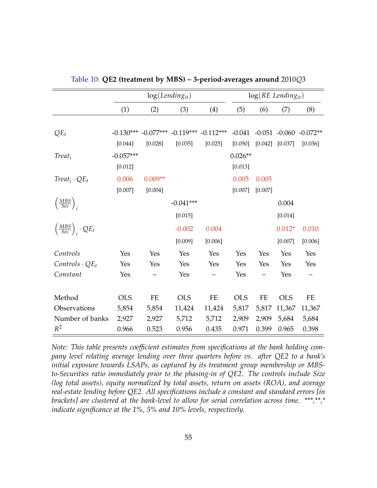<span id="page-54-0"></span>

|                                             |             |           | $log(Lending_{it})$                 |         |            |         | $log(RE$ Lending <sub>it</sub> ) |            |
|---------------------------------------------|-------------|-----------|-------------------------------------|---------|------------|---------|----------------------------------|------------|
|                                             | (1)         | (2)       | (3)                                 | (4)     | (5)        | (6)     | (7)                              | (8)        |
|                                             |             |           |                                     |         |            |         |                                  |            |
| $QE_t$                                      | $-0.130***$ |           | $-0.077***$ $-0.119***$ $-0.112***$ |         | $-0.041$   |         | $-0.051 - 0.060$                 | $-0.072**$ |
|                                             | [0.044]     | [0.028]   | [0.035]                             | [0.025] | [0.050]    | [0.042] | [0.037]                          | [0.036]    |
| $Treat_i$                                   | $-0.057***$ |           |                                     |         | $0.026**$  |         |                                  |            |
|                                             | [0.012]     |           |                                     |         | [0.013]    |         |                                  |            |
| $Treat_i \cdot QE_t$                        | 0.006       | $0.009**$ |                                     |         | 0.005      | 0.005   |                                  |            |
|                                             | [0.007]     | [0.004]   |                                     |         | [0.007]    | [0.007] |                                  |            |
| $\left(\frac{MBS}{Sec}\right)_i$            |             |           | $-0.041***$                         |         |            |         | 0.004                            |            |
|                                             |             |           | [0.015]                             |         |            |         | [0.014]                          |            |
| $\left(\frac{MBS}{Sec}\right)_i \cdot QE_t$ |             |           | $-0.002$                            | 0.004   |            |         | $0.012*$                         | 0.010      |
|                                             |             |           | [0.009]                             | [0.006] |            |         | [0.007]                          | [0.006]    |
| Controls                                    | Yes         | Yes       | Yes                                 | Yes     | Yes        | Yes     | Yes                              | Yes        |
| $Controls \cdot QE_t$                       | Yes         | Yes       | Yes                                 | Yes     | Yes        | Yes     | Yes                              | Yes        |
| Constant                                    | Yes         |           | Yes                                 |         | Yes        |         | Yes                              |            |
|                                             |             |           |                                     |         |            |         |                                  |            |
| Method                                      | <b>OLS</b>  | FE        | <b>OLS</b>                          | FE      | <b>OLS</b> | FE      | <b>OLS</b>                       | FE         |
| Observations                                | 5,854       | 5,854     | 11,424                              | 11,424  | 5,817      | 5,817   | 11,367                           | 11,367     |
| Number of banks                             | 2,927       | 2,927     | 5,712                               | 5,712   | 2,909      | 2,909   | 5,684                            | 5,684      |
| $R^2$                                       | 0.966       | 0.523     | 0.956                               | 0.435   | 0.971      | 0.399   | 0.965                            | 0.398      |

Table 10: **QE2 (treatment by MBS) – 3-period-averages around** 2010*Q*3

*Note: This table presents coefficient estimates from specifications at the bank holding company level relating average lending over three quarters before vs. after QE2 to a bank's initial exposure towards LSAPs, as captured by its treatment group membership or MBSto-Securities ratio immediately prior to the phasing-in of QE2. The controls include Size (log total assets), equity normalized by total assets, return on assets (ROA), and average real-estate lending before QE2. All specifications include a constant and standard errors [in brackets] are clustered at the bank-level to allow for serial correlation across time. \*\*\*,\*\*,\* indicate significance at the 1%, 5% and 10% levels, respectively.*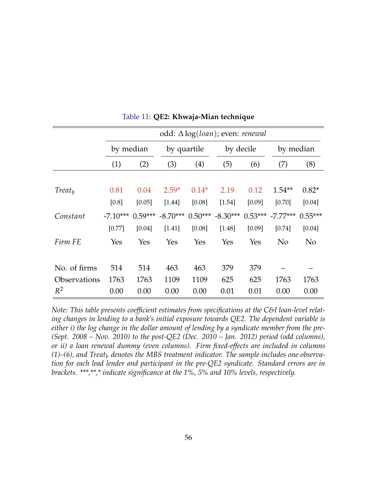<span id="page-55-0"></span>

|                     |            | odd: $\Delta \log (loan)$ ; even: <i>renewal</i> |            |             |            |           |                    |                |  |  |  |
|---------------------|------------|--------------------------------------------------|------------|-------------|------------|-----------|--------------------|----------------|--|--|--|
|                     |            | by median                                        |            | by quartile |            | by decile | by median          |                |  |  |  |
|                     | (1)        | (2)                                              |            | (4)         | (5)        | (6)       | (7)                | (8)            |  |  |  |
|                     |            |                                                  |            |             |            |           |                    |                |  |  |  |
| Treat <sub>h</sub>  | 0.81       | 0.04                                             | $2.59*$    | $0.14*$     | 2.19       | 0.12      | $1.54**$           | $0.82*$        |  |  |  |
|                     | [0.8]      | [0.05]                                           | [1.44]     | [0.08]      | [1.54]     | [0.09]    | [0.70]             | [0.04]         |  |  |  |
| Constant            | $-7.10***$ | $0.59***$                                        | $-8.70***$ | $0.50***$   | $-8.30***$ |           | $0.53***$ -7.77*** | $0.55***$      |  |  |  |
|                     | [0.77]     | [0.04]                                           | [1.41]     | [0.08]      | [1.48]     | [0.09]    | [0.74]             | [0.04]         |  |  |  |
| Firm FE             | Yes        | Yes                                              | Yes        | Yes         | Yes        | Yes       | No                 | N <sub>o</sub> |  |  |  |
|                     |            |                                                  |            |             |            |           |                    |                |  |  |  |
| No. of firms        | 514        | 514                                              | 463        | 463         | 379        | 379       |                    |                |  |  |  |
| <b>Observations</b> | 1763       | 1763                                             | 1109       | 1109        | 625        | 625       | 1763               | 1763           |  |  |  |
| $R^2$               | 0.00       | 0.00                                             | 0.00       | 0.00        | 0.01       | 0.01      | 0.00               | 0.00           |  |  |  |

Table 11: **QE2: Khwaja-Mian technique**

*Note: This table presents coefficient estimates from specifications at the C&I loan-level relating changes in lending to a bank's initial exposure towards QE2. The dependent variable is either i) the log change in the dollar amount of lending by a syndicate member from the pre- (Sept. 2008 – Nov. 2010) to the post-QE2 (Dec. 2010 – Jan. 2012) period (odd columns), or ii) a loan renewal dummy (even columns). Firm fixed-effects are included in columns (1)–(6), and Treat<sup>b</sup> denotes the MBS treatment indicator. The sample includes one observation for each lead lender and participant in the pre-QE2 syndicate. Standard errors are in brackets. \*\*\*,\*\*,\* indicate significance at the 1%, 5% and 10% levels, respectively.*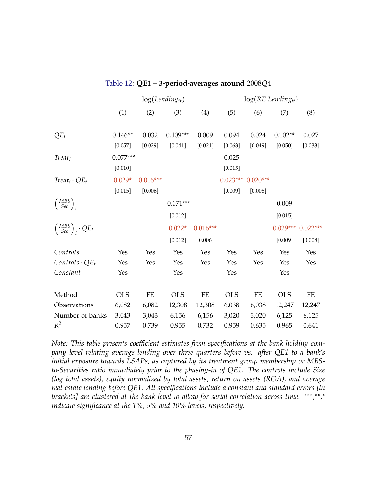<span id="page-56-0"></span>

|                                             | $log(Lending_{it})$ |            |             |            | $log(RE$ Lending <sub>it</sub> ) |            |            |            |
|---------------------------------------------|---------------------|------------|-------------|------------|----------------------------------|------------|------------|------------|
|                                             | (1)                 | (2)        | (3)         | (4)        | (5)                              | (6)        | (7)        | (8)        |
|                                             |                     |            |             |            |                                  |            |            |            |
| $QE_t$                                      | $0.146**$           | 0.032      | $0.109***$  | 0.009      | 0.094                            | 0.024      | $0.102**$  | 0.027      |
|                                             | [0.057]             | [0.029]    | [0.041]     | [0.021]    | [0.063]                          | [0.049]    | [0.050]    | [0.033]    |
| $Treat_i$                                   | $-0.077***$         |            |             |            | 0.025                            |            |            |            |
|                                             | [0.010]             |            |             |            | [0.015]                          |            |            |            |
| $Treat_i \cdot QE_t$                        | $0.029*$            | $0.016***$ |             |            | $0.023***$                       | $0.020***$ |            |            |
|                                             | [0.015]             | [0.006]    |             |            | [0.009]                          | [0.008]    |            |            |
| $\left(\frac{MBS}{Sec}\right)_i$            |                     |            | $-0.071***$ |            |                                  |            | 0.009      |            |
|                                             |                     |            | [0.012]     |            |                                  |            | [0.015]    |            |
| $\left(\frac{MBS}{Sec}\right)_i \cdot QE_t$ |                     |            | $0.022*$    | $0.016***$ |                                  |            | $0.029***$ | $0.022***$ |
|                                             |                     |            | [0.012]     | [0.006]    |                                  |            | [0.009]    | [0.008]    |
| Controls                                    | Yes                 | Yes        | Yes         | Yes        | Yes                              | Yes        | Yes        | Yes        |
| $\textit{Contents} \cdot \textit{QE}_t$     | Yes                 | Yes        | Yes         | Yes        | Yes                              | Yes        | Yes        | Yes        |
| Constant                                    | Yes                 |            | Yes         |            | Yes                              |            | Yes        |            |
|                                             |                     |            |             |            |                                  |            |            |            |
| Method                                      | <b>OLS</b>          | $\rm FE$   | <b>OLS</b>  | $\rm FE$   | <b>OLS</b>                       | $\rm FE$   | <b>OLS</b> | $\rm FE$   |
| Observations                                | 6,082               | 6,082      | 12,308      | 12,308     | 6,038                            | 6,038      | 12,247     | 12,247     |
| Number of banks                             | 3,043               | 3,043      | 6,156       | 6,156      | 3,020                            | 3,020      | 6,125      | 6,125      |
| $R^2$                                       | 0.957               | 0.739      | 0.955       | 0.732      | 0.959                            | 0.635      | 0.965      | 0.641      |

Table 12: **QE1 – 3-period-averages around** 2008*Q*4

*Note: This table presents coefficient estimates from specifications at the bank holding company level relating average lending over three quarters before vs. after QE1 to a bank's initial exposure towards LSAPs, as captured by its treatment group membership or MBSto-Securities ratio immediately prior to the phasing-in of QE1. The controls include Size (log total assets), equity normalized by total assets, return on assets (ROA), and average real-estate lending before QE1. All specifications include a constant and standard errors [in brackets] are clustered at the bank-level to allow for serial correlation across time. \*\*\*,\*\*,\* indicate significance at the 1%, 5% and 10% levels, respectively.*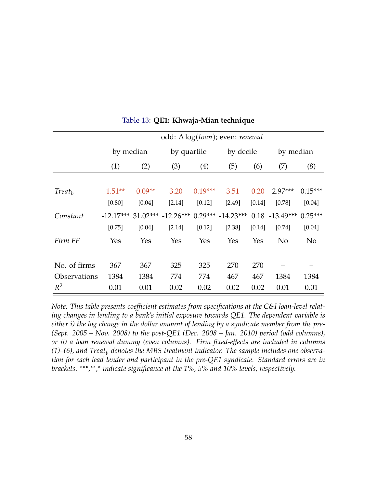<span id="page-57-0"></span>

|                     |             | odd: $\Delta \log (loan)$ ; even: <i>renewal</i> |             |             |                     |           |                   |           |  |
|---------------------|-------------|--------------------------------------------------|-------------|-------------|---------------------|-----------|-------------------|-----------|--|
|                     |             | by median                                        |             | by quartile |                     | by decile |                   | by median |  |
|                     | (1)         | (2)                                              | (3)         | (4)         | (5)                 | (6)       | (7)               | (8)       |  |
| Treat <sub>h</sub>  | $1.51**$    | $0.09**$                                         | 3.20        | $0.19***$   | 3.51                | 0.20      | $2.97***$         | $0.15***$ |  |
|                     | [0.80]      | [0.04]                                           | [2.14]      | [0.12]      | [2.49]              | [0.14]    | [0.78]            | [0.04]    |  |
| Constant            | $-12.17***$ | $31.02***$                                       | $-12.26***$ |             | $0.29*** -14.23***$ |           | $0.18 - 13.49***$ | $0.25***$ |  |
|                     | [0.75]      | [0.04]                                           | [2.14]      | [0.12]      | [2.38]              | [0.14]    | [0.74]            | $[0.04]$  |  |
| Firm FE             | Yes         | Yes                                              | Yes         | Yes         | Yes                 | Yes       | N <sub>o</sub>    | No        |  |
|                     |             |                                                  |             |             |                     |           |                   |           |  |
| No. of firms        | 367         | 367                                              | 325         | 325         | 270                 | 270       |                   |           |  |
| <b>Observations</b> | 1384        | 1384                                             | 774         | 774         | 467                 | 467       | 1384              | 1384      |  |
| $R^2$               | 0.01        | 0.01                                             | 0.02        | 0.02        | 0.02                | 0.02      | 0.01              | 0.01      |  |

|  |  | Table 13: QE1: Khwaja-Mian technique |  |
|--|--|--------------------------------------|--|
|--|--|--------------------------------------|--|

*Note: This table presents coefficient estimates from specifications at the C&I loan-level relating changes in lending to a bank's initial exposure towards QE1. The dependent variable is either i) the log change in the dollar amount of lending by a syndicate member from the pre- (Sept. 2005 – Nov. 2008) to the post-QE1 (Dec. 2008 – Jan. 2010) period (odd columns), or ii) a loan renewal dummy (even columns). Firm fixed-effects are included in columns (1)–(6), and Treat<sup>b</sup> denotes the MBS treatment indicator. The sample includes one observation for each lead lender and participant in the pre-QE1 syndicate. Standard errors are in brackets. \*\*\*,\*\*,\* indicate significance at the 1%, 5% and 10% levels, respectively.*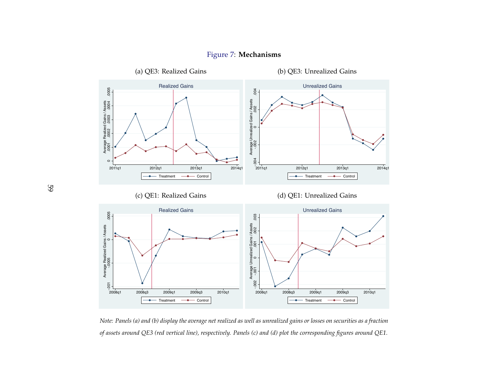<span id="page-58-0"></span>

## Figure 7: **Mechanisms**

Note: Panels (a) and (b) display the average net realized as well as unrealized gains or losses on securities as a fraction of assets around QE3 (red vertical line), respectively. Panels (c) and (d) plot the corresponding figures around QE1.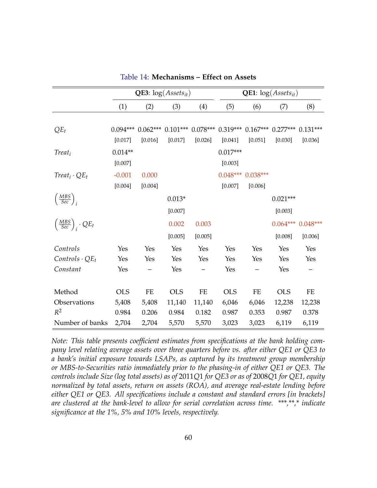<span id="page-59-0"></span>

|                                             | <b>QE3</b> : $log(A \, \text{s} \, \text{ets}_{it})$ |          |            |                                                                   | <b>QE1</b> : $log(A \, \text{ssets}_{it})$ |                     |            |            |  |
|---------------------------------------------|------------------------------------------------------|----------|------------|-------------------------------------------------------------------|--------------------------------------------|---------------------|------------|------------|--|
|                                             | (1)                                                  | (2)      | (3)        | (4)                                                               | (5)                                        | (6)                 | (7)        | (8)        |  |
|                                             |                                                      |          |            |                                                                   |                                            |                     |            |            |  |
| $QE_t$                                      | $0.094***$                                           |          |            | $0.062***$ $0.101***$ $0.078***$ $0.319***$ $0.167***$ $0.277***$ |                                            |                     |            | $0.131***$ |  |
|                                             | [0.017]                                              | [0.016]  | [0.017]    | [0.026]                                                           | [0.041]                                    | [0.051]             | [0.030]    | [0.036]    |  |
| $Treat_i$                                   | $0.014**$                                            |          |            |                                                                   | $0.017***$                                 |                     |            |            |  |
|                                             | [0.007]                                              |          |            |                                                                   | [0.003]                                    |                     |            |            |  |
| $Treat_i \cdot QE_t$                        | $-0.001$                                             | 0.000    |            |                                                                   |                                            | $0.048***$ 0.038*** |            |            |  |
|                                             | [0.004]                                              | [0.004]  |            |                                                                   | [0.007]                                    | [0.006]             |            |            |  |
| $\left(\frac{MBS}{Sec}\right)_i$            |                                                      |          | $0.013*$   |                                                                   |                                            |                     | $0.021***$ |            |  |
|                                             |                                                      |          | [0.007]    |                                                                   |                                            |                     | [0.003]    |            |  |
| $\left(\frac{MBS}{Sec}\right)_i \cdot QE_t$ |                                                      |          | 0.002      | 0.003                                                             |                                            |                     | $0.064***$ | $0.048***$ |  |
|                                             |                                                      |          | [0.005]    | [0.005]                                                           |                                            |                     | [0.008]    | [0.006]    |  |
| Controls                                    | Yes                                                  | Yes      | Yes        | Yes                                                               | Yes                                        | Yes                 | Yes        | Yes        |  |
| $\textit{Controls} \cdot \textit{QE}_t$     | Yes                                                  | Yes      | Yes        | Yes                                                               | Yes                                        | Yes                 | Yes        | Yes        |  |
| Constant                                    | Yes                                                  |          | Yes        |                                                                   | Yes                                        |                     | Yes        |            |  |
|                                             |                                                      |          |            |                                                                   |                                            |                     |            |            |  |
| Method                                      | <b>OLS</b>                                           | $\rm FE$ | <b>OLS</b> | $FE$                                                              | <b>OLS</b>                                 | $\rm FE$            | <b>OLS</b> | FE         |  |
| Observations                                | 5,408                                                | 5,408    | 11,140     | 11,140                                                            | 6,046                                      | 6,046               | 12,238     | 12,238     |  |
| $R^2$                                       | 0.984                                                | 0.206    | 0.984      | 0.182                                                             | 0.987                                      | 0.353               | 0.987      | 0.378      |  |
| Number of banks                             | 2,704                                                | 2,704    | 5,570      | 5,570                                                             | 3,023                                      | 3,023               | 6,119      | 6,119      |  |

Table 14: **Mechanisms – Effect on Assets**

*Note: This table presents coefficient estimates from specifications at the bank holding company level relating average assets over three quarters before vs. after either QE1 or QE3 to a bank's initial exposure towards LSAPs, as captured by its treatment group membership or MBS-to-Securities ratio immediately prior to the phasing-in of either QE1 or QE3. The controls include Size (log total assets) as of* 2011*Q*1 *for QE3 or as of* 2008*Q*1 *for QE1, equity normalized by total assets, return on assets (ROA), and average real-estate lending before either QE1 or QE3. All specifications include a constant and standard errors [in brackets] are clustered at the bank-level to allow for serial correlation across time. \*\*\*,\*\*,\* indicate significance at the 1%, 5% and 10% levels, respectively.*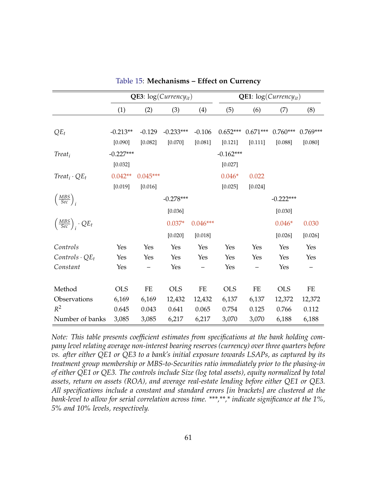<span id="page-60-0"></span>

|                                             | <b>QE3</b> : $log(Currencyit)$ |            |             |            | <b>QE1</b> : $log(Currency_{it})$ |            |             |            |
|---------------------------------------------|--------------------------------|------------|-------------|------------|-----------------------------------|------------|-------------|------------|
|                                             | (1)                            | (2)        | (3)         | (4)        | (5)                               | (6)        | (7)         | (8)        |
|                                             |                                |            |             |            |                                   |            |             |            |
| $QE_t$                                      | $-0.213**$                     | $-0.129$   | $-0.233***$ | $-0.106$   | $0.652***$                        | $0.671***$ | $0.760***$  | $0.769***$ |
|                                             | [0.090]                        | [0.082]    | [0.070]     | [0.081]    | [0.121]                           | [0.111]    | [0.088]     | [0.080]    |
| $Treat_i$                                   | $-0.227***$                    |            |             |            | $-0.162***$                       |            |             |            |
|                                             | [0.032]                        |            |             |            | [0.027]                           |            |             |            |
| $Treat_i \cdot QE_t$                        | $0.042**$                      | $0.045***$ |             |            | $0.046*$                          | 0.022      |             |            |
|                                             | [0.019]                        | [0.016]    |             |            | [0.025]                           | [0.024]    |             |            |
| $\left(\frac{MBS}{Sec}\right)_i$            |                                |            | $-0.278***$ |            |                                   |            | $-0.222***$ |            |
|                                             |                                |            | [0.036]     |            |                                   |            | [0.030]     |            |
| $\left(\frac{MBS}{Sec}\right)_i \cdot QE_t$ |                                |            | $0.037*$    | $0.046***$ |                                   |            | $0.046*$    | 0.030      |
|                                             |                                |            | [0.020]     | [0.018]    |                                   |            | [0.026]     | [0.026]    |
| Controls                                    | Yes                            | Yes        | Yes         | Yes        | Yes                               | Yes        | Yes         | Yes        |
| $Contents \cdot QE_t$                       | Yes                            | Yes        | Yes         | Yes        | Yes                               | Yes        | Yes         | Yes        |
| Constant                                    | Yes                            |            | Yes         |            | Yes                               |            | Yes         |            |
|                                             |                                |            |             |            |                                   |            |             |            |
| Method                                      | <b>OLS</b>                     | FE         | <b>OLS</b>  | $\rm FE$   | <b>OLS</b>                        | FE         | <b>OLS</b>  | FE         |
| Observations                                | 6,169                          | 6,169      | 12,432      | 12,432     | 6,137                             | 6,137      | 12,372      | 12,372     |
| $R^2$                                       | 0.645                          | 0.043      | 0.641       | 0.065      | 0.754                             | 0.125      | 0.766       | 0.112      |
| Number of banks                             | 3,085                          | 3,085      | 6,217       | 6,217      | 3,070                             | 3,070      | 6,188       | 6,188      |

Table 15: **Mechanisms – Effect on Currency**

*Note: This table presents coefficient estimates from specifications at the bank holding company level relating average non-interest bearing reserves (currency) over three quarters before vs. after either QE1 or QE3 to a bank's initial exposure towards LSAPs, as captured by its treatment group membership or MBS-to-Securities ratio immediately prior to the phasing-in of either QE1 or QE3. The controls include Size (log total assets), equity normalized by total assets, return on assets (ROA), and average real-estate lending before either QE1 or QE3. All specifications include a constant and standard errors [in brackets] are clustered at the bank-level to allow for serial correlation across time. \*\*\*,\*\*,\* indicate significance at the 1%, 5% and 10% levels, respectively.*